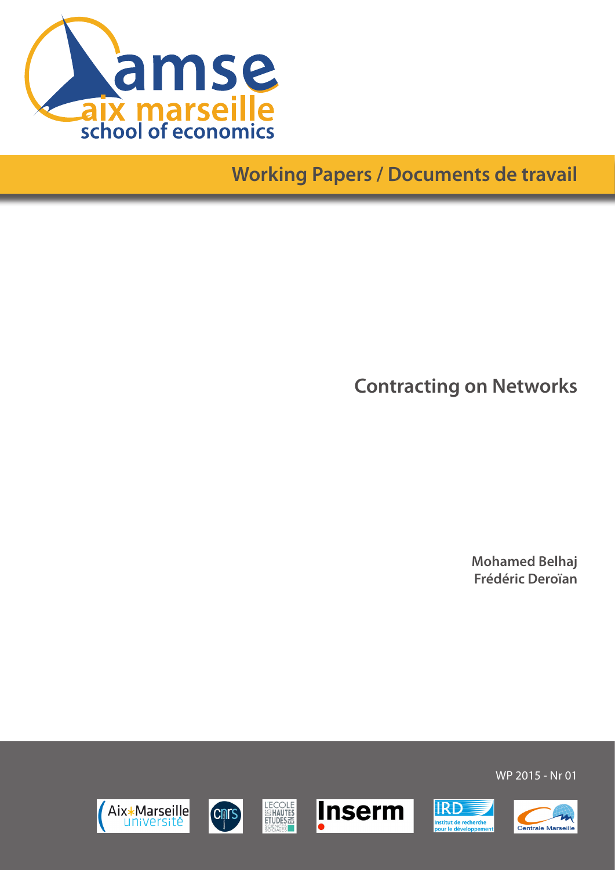

## **Working Papers / Documents de travail**

**Contracting on Networks**

**Mohamed Belhaj Frédéric Deroïan**













WP 2015 - Nr 01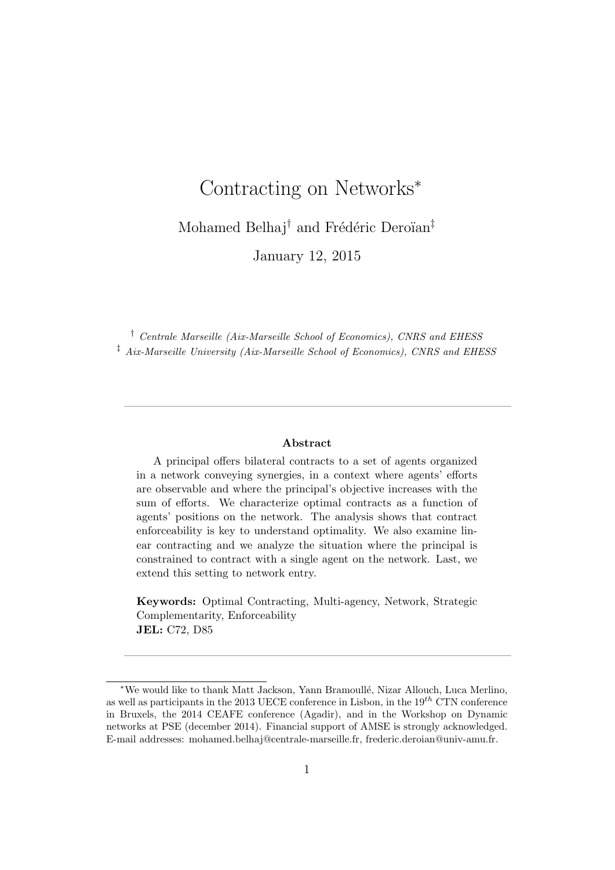# Contracting on Networks<sup>∗</sup> Mohamed Belhaj<sup>†</sup> and Frédéric Deroïan<sup>‡</sup> January 12, 2015

† Centrale Marseille (Aix-Marseille School of Economics), CNRS and EHESS ‡ Aix-Marseille University (Aix-Marseille School of Economics), CNRS and EHESS

#### Abstract

 $\frac{1}{\sqrt{2}}$  , and the set of  $\frac{1}{\sqrt{2}}$  , and the set of  $\frac{1}{\sqrt{2}}$  , and  $\frac{1}{\sqrt{2}}$  , and  $\frac{1}{\sqrt{2}}$  , and  $\frac{1}{\sqrt{2}}$ 

A principal offers bilateral contracts to a set of agents organized in a network conveying synergies, in a context where agents' efforts are observable and where the principal's objective increases with the sum of efforts. We characterize optimal contracts as a function of agents' positions on the network. The analysis shows that contract enforceability is key to understand optimality. We also examine linear contracting and we analyze the situation where the principal is constrained to contract with a single agent on the network. Last, we extend this setting to network entry.

Keywords: Optimal Contracting, Multi-agency, Network, Strategic Complementarity, Enforceability JEL: C72, D85

 $\frac{1}{\sqrt{2}}$  , and the set of  $\frac{1}{\sqrt{2}}$  , and the set of  $\frac{1}{\sqrt{2}}$  , and  $\frac{1}{\sqrt{2}}$  , and  $\frac{1}{\sqrt{2}}$  , and  $\frac{1}{\sqrt{2}}$ 

<sup>∗</sup>We would like to thank Matt Jackson, Yann Bramoull´e, Nizar Allouch, Luca Merlino, as well as participants in the 2013 UECE conference in Lisbon, in the  $19<sup>th</sup>$  CTN conference in Bruxels, the 2014 CEAFE conference (Agadir), and in the Workshop on Dynamic networks at PSE (december 2014). Financial support of AMSE is strongly acknowledged. E-mail addresses: mohamed.belhaj@centrale-marseille.fr, frederic.deroian@univ-amu.fr.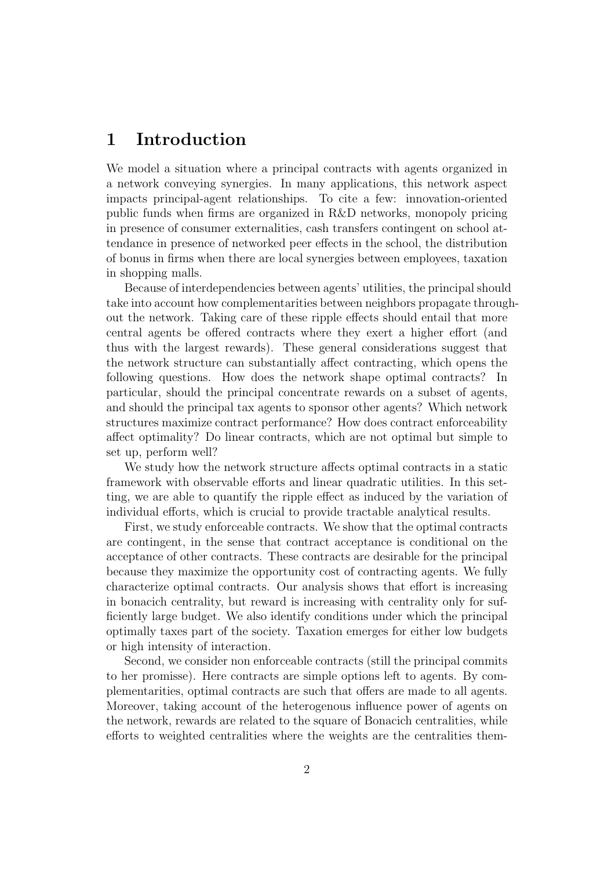## 1 Introduction

We model a situation where a principal contracts with agents organized in a network conveying synergies. In many applications, this network aspect impacts principal-agent relationships. To cite a few: innovation-oriented public funds when firms are organized in R&D networks, monopoly pricing in presence of consumer externalities, cash transfers contingent on school attendance in presence of networked peer effects in the school, the distribution of bonus in firms when there are local synergies between employees, taxation in shopping malls.

Because of interdependencies between agents' utilities, the principal should take into account how complementarities between neighbors propagate throughout the network. Taking care of these ripple effects should entail that more central agents be offered contracts where they exert a higher effort (and thus with the largest rewards). These general considerations suggest that the network structure can substantially affect contracting, which opens the following questions. How does the network shape optimal contracts? In particular, should the principal concentrate rewards on a subset of agents, and should the principal tax agents to sponsor other agents? Which network structures maximize contract performance? How does contract enforceability affect optimality? Do linear contracts, which are not optimal but simple to set up, perform well?

We study how the network structure affects optimal contracts in a static framework with observable efforts and linear quadratic utilities. In this setting, we are able to quantify the ripple effect as induced by the variation of individual efforts, which is crucial to provide tractable analytical results.

First, we study enforceable contracts. We show that the optimal contracts are contingent, in the sense that contract acceptance is conditional on the acceptance of other contracts. These contracts are desirable for the principal because they maximize the opportunity cost of contracting agents. We fully characterize optimal contracts. Our analysis shows that effort is increasing in bonacich centrality, but reward is increasing with centrality only for sufficiently large budget. We also identify conditions under which the principal optimally taxes part of the society. Taxation emerges for either low budgets or high intensity of interaction.

Second, we consider non enforceable contracts (still the principal commits to her promisse). Here contracts are simple options left to agents. By complementarities, optimal contracts are such that offers are made to all agents. Moreover, taking account of the heterogenous influence power of agents on the network, rewards are related to the square of Bonacich centralities, while efforts to weighted centralities where the weights are the centralities them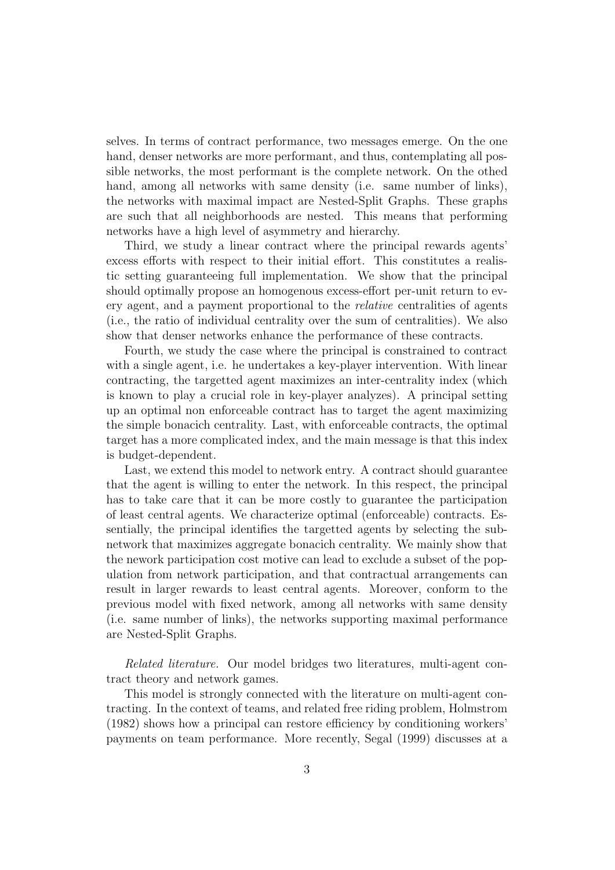selves. In terms of contract performance, two messages emerge. On the one hand, denser networks are more performant, and thus, contemplating all possible networks, the most performant is the complete network. On the othed hand, among all networks with same density (i.e. same number of links), the networks with maximal impact are Nested-Split Graphs. These graphs are such that all neighborhoods are nested. This means that performing networks have a high level of asymmetry and hierarchy.

Third, we study a linear contract where the principal rewards agents' excess efforts with respect to their initial effort. This constitutes a realistic setting guaranteeing full implementation. We show that the principal should optimally propose an homogenous excess-effort per-unit return to every agent, and a payment proportional to the relative centralities of agents (i.e., the ratio of individual centrality over the sum of centralities). We also show that denser networks enhance the performance of these contracts.

Fourth, we study the case where the principal is constrained to contract with a single agent, i.e. he undertakes a key-player intervention. With linear contracting, the targetted agent maximizes an inter-centrality index (which is known to play a crucial role in key-player analyzes). A principal setting up an optimal non enforceable contract has to target the agent maximizing the simple bonacich centrality. Last, with enforceable contracts, the optimal target has a more complicated index, and the main message is that this index is budget-dependent.

Last, we extend this model to network entry. A contract should guarantee that the agent is willing to enter the network. In this respect, the principal has to take care that it can be more costly to guarantee the participation of least central agents. We characterize optimal (enforceable) contracts. Essentially, the principal identifies the targetted agents by selecting the subnetwork that maximizes aggregate bonacich centrality. We mainly show that the nework participation cost motive can lead to exclude a subset of the population from network participation, and that contractual arrangements can result in larger rewards to least central agents. Moreover, conform to the previous model with fixed network, among all networks with same density (i.e. same number of links), the networks supporting maximal performance are Nested-Split Graphs.

Related literature. Our model bridges two literatures, multi-agent contract theory and network games.

This model is strongly connected with the literature on multi-agent contracting. In the context of teams, and related free riding problem, Holmstrom (1982) shows how a principal can restore efficiency by conditioning workers' payments on team performance. More recently, Segal (1999) discusses at a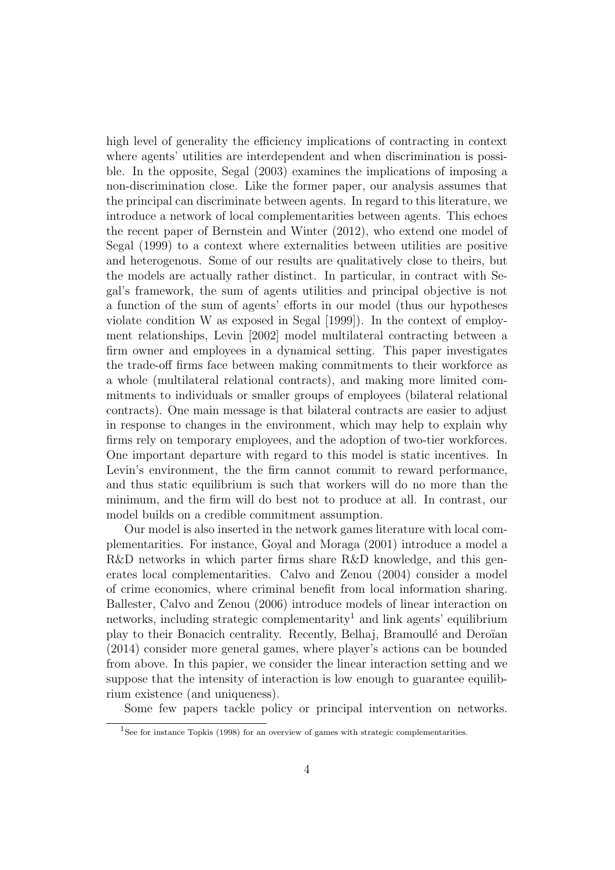high level of generality the efficiency implications of contracting in context where agents' utilities are interdependent and when discrimination is possible. In the opposite, Segal (2003) examines the implications of imposing a non-discrimination close. Like the former paper, our analysis assumes that the principal can discriminate between agents. In regard to this literature, we introduce a network of local complementarities between agents. This echoes the recent paper of Bernstein and Winter (2012), who extend one model of Segal (1999) to a context where externalities between utilities are positive and heterogenous. Some of our results are qualitatively close to theirs, but the models are actually rather distinct. In particular, in contract with Segal's framework, the sum of agents utilities and principal objective is not a function of the sum of agents' efforts in our model (thus our hypotheses violate condition W as exposed in Segal [1999]). In the context of employment relationships, Levin [2002] model multilateral contracting between a firm owner and employees in a dynamical setting. This paper investigates the trade-off firms face between making commitments to their workforce as a whole (multilateral relational contracts), and making more limited commitments to individuals or smaller groups of employees (bilateral relational contracts). One main message is that bilateral contracts are easier to adjust in response to changes in the environment, which may help to explain why firms rely on temporary employees, and the adoption of two-tier workforces. One important departure with regard to this model is static incentives. In Levin's environment, the the firm cannot commit to reward performance, and thus static equilibrium is such that workers will do no more than the minimum, and the firm will do best not to produce at all. In contrast, our model builds on a credible commitment assumption.

Our model is also inserted in the network games literature with local complementarities. For instance, Goyal and Moraga (2001) introduce a model a R&D networks in which parter firms share R&D knowledge, and this generates local complementarities. Calvo and Zenou (2004) consider a model of crime economics, where criminal benefit from local information sharing. Ballester, Calvo and Zenou (2006) introduce models of linear interaction on networks, including strategic complementarity<sup>1</sup> and link agents' equilibrium play to their Bonacich centrality. Recently, Belhaj, Bramoullé and Deroïan (2014) consider more general games, where player's actions can be bounded from above. In this papier, we consider the linear interaction setting and we suppose that the intensity of interaction is low enough to guarantee equilibrium existence (and uniqueness).

Some few papers tackle policy or principal intervention on networks.

<sup>&</sup>lt;sup>1</sup>See for instance Topkis (1998) for an overview of games with strategic complementarities.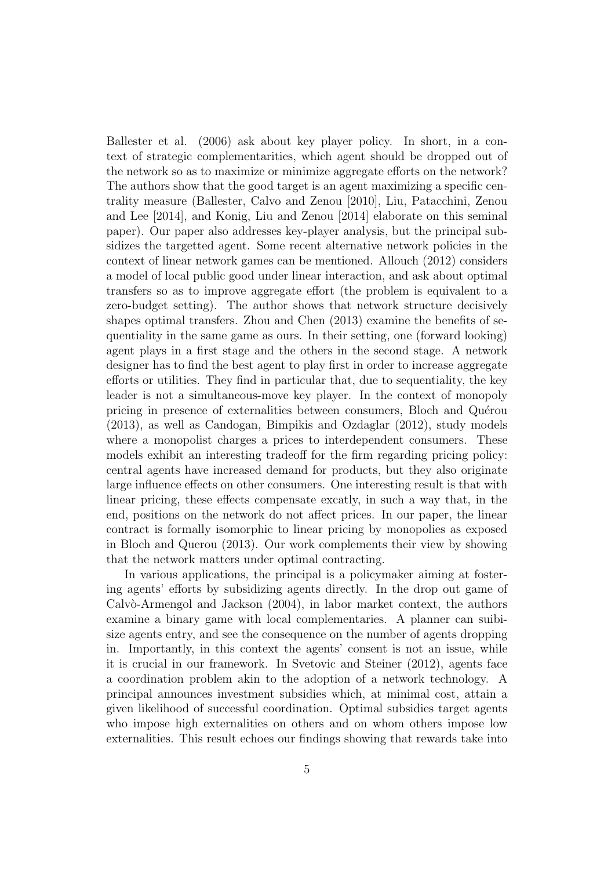Ballester et al. (2006) ask about key player policy. In short, in a context of strategic complementarities, which agent should be dropped out of the network so as to maximize or minimize aggregate efforts on the network? The authors show that the good target is an agent maximizing a specific centrality measure (Ballester, Calvo and Zenou [2010], Liu, Patacchini, Zenou and Lee [2014], and Konig, Liu and Zenou [2014] elaborate on this seminal paper). Our paper also addresses key-player analysis, but the principal subsidizes the targetted agent. Some recent alternative network policies in the context of linear network games can be mentioned. Allouch (2012) considers a model of local public good under linear interaction, and ask about optimal transfers so as to improve aggregate effort (the problem is equivalent to a zero-budget setting). The author shows that network structure decisively shapes optimal transfers. Zhou and Chen (2013) examine the benefits of sequentiality in the same game as ours. In their setting, one (forward looking) agent plays in a first stage and the others in the second stage. A network designer has to find the best agent to play first in order to increase aggregate efforts or utilities. They find in particular that, due to sequentiality, the key leader is not a simultaneous-move key player. In the context of monopoly pricing in presence of externalities between consumers, Bloch and Quérou (2013), as well as Candogan, Bimpikis and Ozdaglar (2012), study models where a monopolist charges a prices to interdependent consumers. These models exhibit an interesting tradeoff for the firm regarding pricing policy: central agents have increased demand for products, but they also originate large influence effects on other consumers. One interesting result is that with linear pricing, these effects compensate excatly, in such a way that, in the end, positions on the network do not affect prices. In our paper, the linear contract is formally isomorphic to linear pricing by monopolies as exposed in Bloch and Querou (2013). Our work complements their view by showing that the network matters under optimal contracting.

In various applications, the principal is a policymaker aiming at fostering agents' efforts by subsidizing agents directly. In the drop out game of  $Calv\ddot{o}$ -Armengol and Jackson  $(2004)$ , in labor market context, the authors examine a binary game with local complementaries. A planner can suibisize agents entry, and see the consequence on the number of agents dropping in. Importantly, in this context the agents' consent is not an issue, while it is crucial in our framework. In Svetovic and Steiner (2012), agents face a coordination problem akin to the adoption of a network technology. A principal announces investment subsidies which, at minimal cost, attain a given likelihood of successful coordination. Optimal subsidies target agents who impose high externalities on others and on whom others impose low externalities. This result echoes our findings showing that rewards take into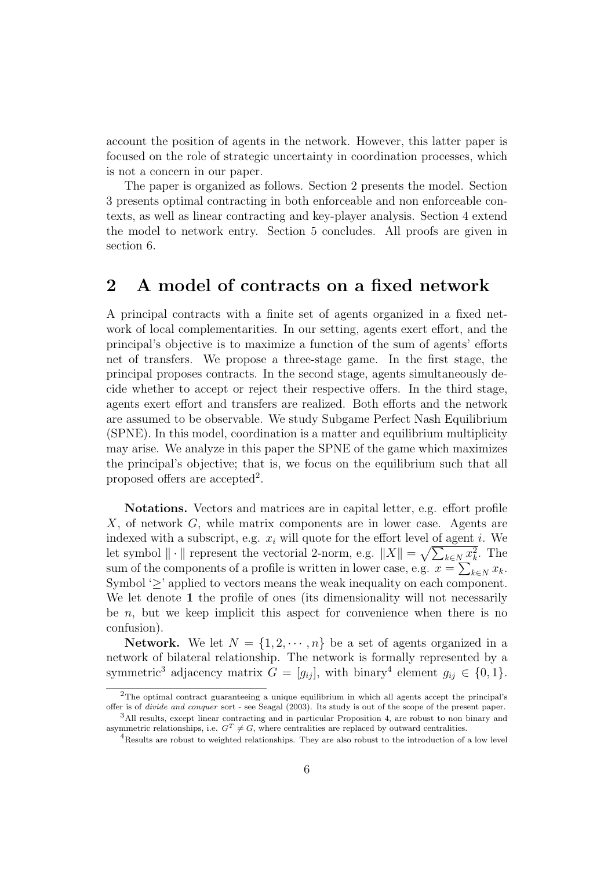account the position of agents in the network. However, this latter paper is focused on the role of strategic uncertainty in coordination processes, which is not a concern in our paper.

The paper is organized as follows. Section 2 presents the model. Section 3 presents optimal contracting in both enforceable and non enforceable contexts, as well as linear contracting and key-player analysis. Section 4 extend the model to network entry. Section 5 concludes. All proofs are given in section 6.

## 2 A model of contracts on a fixed network

A principal contracts with a finite set of agents organized in a fixed network of local complementarities. In our setting, agents exert effort, and the principal's objective is to maximize a function of the sum of agents' efforts net of transfers. We propose a three-stage game. In the first stage, the principal proposes contracts. In the second stage, agents simultaneously decide whether to accept or reject their respective offers. In the third stage, agents exert effort and transfers are realized. Both efforts and the network are assumed to be observable. We study Subgame Perfect Nash Equilibrium (SPNE). In this model, coordination is a matter and equilibrium multiplicity may arise. We analyze in this paper the SPNE of the game which maximizes the principal's objective; that is, we focus on the equilibrium such that all proposed offers are accepted<sup>2</sup>.

Notations. Vectors and matrices are in capital letter, e.g. effort profile X, of network G, while matrix components are in lower case. Agents are indexed with a subscript, e.g.  $x_i$  will quote for the effort level of agent i. We let symbol  $\|\cdot\|$  represent the vectorial 2-norm, e.g.  $\|X\| = \sqrt{\sum_{k \in N} x_k^2}$ . The sum of the components of a profile is written in lower case, e.g.  $x = \sum_{k \in N} x_k$ . Symbol '>' applied to vectors means the weak inequality on each component. We let denote 1 the profile of ones (its dimensionality will not necessarily be  $n$ , but we keep implicit this aspect for convenience when there is no confusion).

**Network.** We let  $N = \{1, 2, \dots, n\}$  be a set of agents organized in a network of bilateral relationship. The network is formally represented by a symmetric<sup>3</sup> adjacency matrix  $G = [g_{ij}]$ , with binary<sup>4</sup> element  $g_{ij} \in \{0, 1\}$ .

<sup>&</sup>lt;sup>2</sup>The optimal contract guaranteeing a unique equilibrium in which all agents accept the principal's offer is of divide and conquer sort - see Seagal (2003). Its study is out of the scope of the present paper.

<sup>3</sup>All results, except linear contracting and in particular Proposition 4, are robust to non binary and asymmetric relationships, i.e.  $G^T \neq G$ , where centralities are replaced by outward centralities.

<sup>&</sup>lt;sup>4</sup>Results are robust to weighted relationships. They are also robust to the introduction of a low level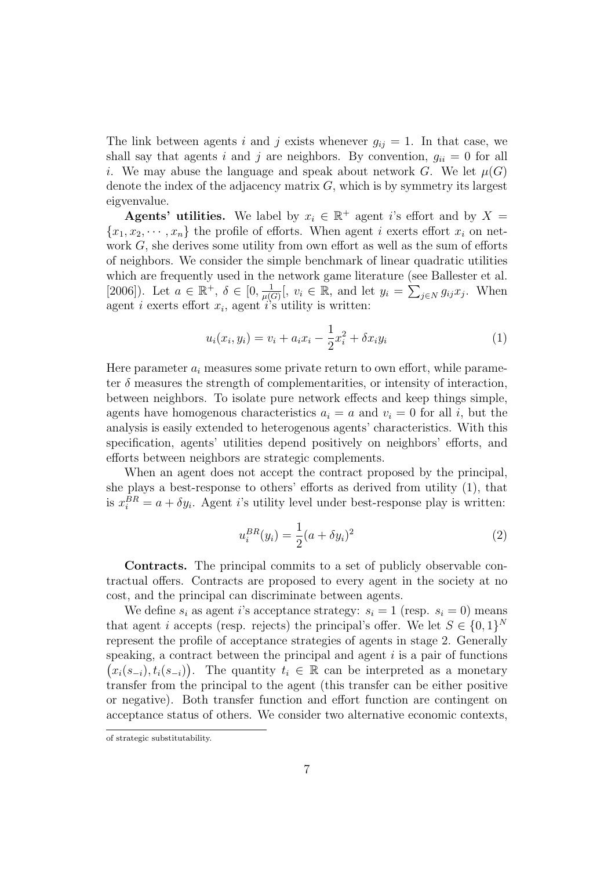The link between agents i and j exists whenever  $g_{ij} = 1$ . In that case, we shall say that agents i and j are neighbors. By convention,  $g_{ii} = 0$  for all i. We may abuse the language and speak about network G. We let  $\mu(G)$ denote the index of the adjacency matrix  $G$ , which is by symmetry its largest eigvenvalue.

**Agents' utilities.** We label by  $x_i \in \mathbb{R}^+$  agent i's effort and by  $X =$  ${x_1, x_2, \dots, x_n}$  the profile of efforts. When agent i exerts effort  $x_i$  on network  $G$ , she derives some utility from own effort as well as the sum of efforts of neighbors. We consider the simple benchmark of linear quadratic utilities which are frequently used in the network game literature (see Ballester et al. [2006]). Let  $a \in \mathbb{R}^+, \delta \in [0, \frac{1}{n(\ell)}]$  $\frac{1}{\mu(G)}$ ,  $v_i \in \mathbb{R}$ , and let  $y_i = \sum_{j \in N} g_{ij} x_j$ . When agent *i* exerts effort  $x_i$ , agent *i*'s utility is written:

$$
u_i(x_i, y_i) = v_i + a_i x_i - \frac{1}{2} x_i^2 + \delta x_i y_i \tag{1}
$$

Here parameter  $a_i$  measures some private return to own effort, while parameter  $\delta$  measures the strength of complementarities, or intensity of interaction, between neighbors. To isolate pure network effects and keep things simple, agents have homogenous characteristics  $a_i = a$  and  $v_i = 0$  for all i, but the analysis is easily extended to heterogenous agents' characteristics. With this specification, agents' utilities depend positively on neighbors' efforts, and efforts between neighbors are strategic complements.

When an agent does not accept the contract proposed by the principal, she plays a best-response to others' efforts as derived from utility (1), that is  $x_i^{BR} = a + \delta y_i$ . Agent *i*'s utility level under best-response play is written:

$$
u_i^{BR}(y_i) = \frac{1}{2}(a + \delta y_i)^2
$$
\n(2)

Contracts. The principal commits to a set of publicly observable contractual offers. Contracts are proposed to every agent in the society at no cost, and the principal can discriminate between agents.

We define  $s_i$  as agent i's acceptance strategy:  $s_i = 1$  (resp.  $s_i = 0$ ) means that agent *i* accepts (resp. rejects) the principal's offer. We let  $S \in \{0,1\}^N$ represent the profile of acceptance strategies of agents in stage 2. Generally speaking, a contract between the principal and agent  $i$  is a pair of functions  $(x_i(s_{-i}), t_i(s_{-i}))$ . The quantity  $t_i \in \mathbb{R}$  can be interpreted as a monetary transfer from the principal to the agent (this transfer can be either positive or negative). Both transfer function and effort function are contingent on acceptance status of others. We consider two alternative economic contexts,

of strategic substitutability.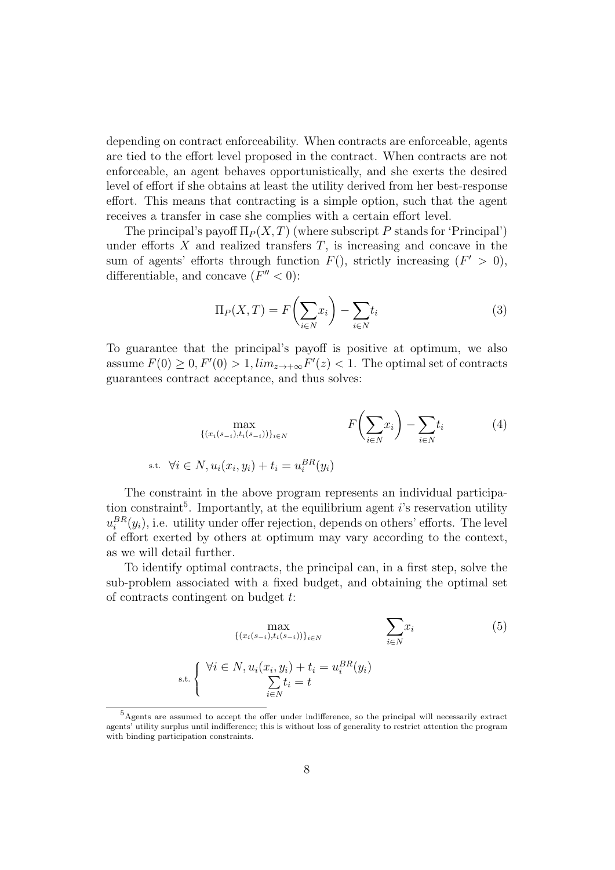depending on contract enforceability. When contracts are enforceable, agents are tied to the effort level proposed in the contract. When contracts are not enforceable, an agent behaves opportunistically, and she exerts the desired level of effort if she obtains at least the utility derived from her best-response effort. This means that contracting is a simple option, such that the agent receives a transfer in case she complies with a certain effort level.

The principal's payoff  $\Pi_P(X,T)$  (where subscript P stands for 'Principal') under efforts  $X$  and realized transfers  $T$ , is increasing and concave in the sum of agents' efforts through function  $F()$ , strictly increasing  $(F' > 0)$ , differentiable, and concave  $(F'' < 0)$ :

$$
\Pi_P(X,T) = F\left(\sum_{i \in N} x_i\right) - \sum_{i \in N} t_i \tag{3}
$$

To guarantee that the principal's payoff is positive at optimum, we also assume  $F(0) \ge 0, F'(0) > 1, \lim_{z \to +\infty} F'(z) < 1$ . The optimal set of contracts guarantees contract acceptance, and thus solves:

$$
\max_{\{(x_i(s_{-i}), t_i(s_{-i}))\}_{i \in N}} F\left(\sum_{i \in N} x_i\right) - \sum_{i \in N} t_i
$$
\ns.t.

\n
$$
\forall i \in N, u_i(x_i, y_i) + t_i = u_i^{BR}(y_i)
$$
\n(4)

The constraint in the above program represents an individual participation constraint<sup>5</sup>. Importantly, at the equilibrium agent i's reservation utility  $u_i^{BR}(y_i)$ , i.e. utility under offer rejection, depends on others' efforts. The level of effort exerted by others at optimum may vary according to the context, as we will detail further.

To identify optimal contracts, the principal can, in a first step, solve the sub-problem associated with a fixed budget, and obtaining the optimal set of contracts contingent on budget t:

$$
\max_{\{(x_i(s_{-i}), t_i(s_{-i}))\}_{i \in N}} \sum_{i \in N} x_i
$$
\n
$$
\sum_{i \in N} x_i
$$
\n
$$
\forall i \in N, u_i(x_i, y_i) + t_i = u_i^{BR}(y_i)
$$
\n
$$
\sum_{i \in N} t_i = t
$$
\n
$$
(5)
$$

<sup>5</sup>Agents are assumed to accept the offer under indifference, so the principal will necessarily extract agents' utility surplus until indifference; this is without loss of generality to restrict attention the program with binding participation constraints.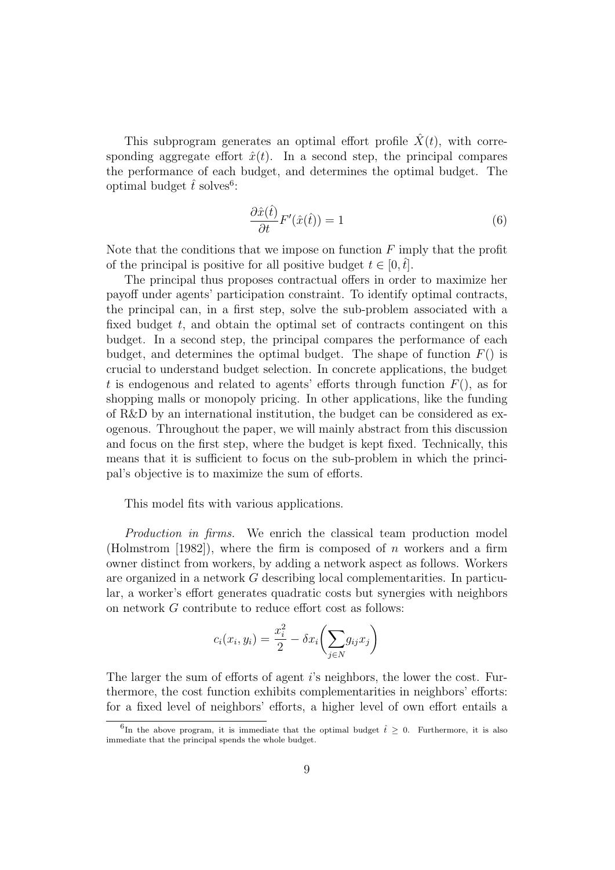This subprogram generates an optimal effort profile  $\hat{X}(t)$ , with corresponding aggregate effort  $\hat{x}(t)$ . In a second step, the principal compares the performance of each budget, and determines the optimal budget. The optimal budget  $\hat{t}$  solves<sup>6</sup>:

$$
\frac{\partial \hat{x}(\hat{t})}{\partial t}F'(\hat{x}(\hat{t})) = 1\tag{6}
$$

Note that the conditions that we impose on function  $F$  imply that the profit of the principal is positive for all positive budget  $t \in [0, \hat{t}]$ .

The principal thus proposes contractual offers in order to maximize her payoff under agents' participation constraint. To identify optimal contracts, the principal can, in a first step, solve the sub-problem associated with a fixed budget  $t$ , and obtain the optimal set of contracts contingent on this budget. In a second step, the principal compares the performance of each budget, and determines the optimal budget. The shape of function  $F()$  is crucial to understand budget selection. In concrete applications, the budget t is endogenous and related to agents' efforts through function  $F()$ , as for shopping malls or monopoly pricing. In other applications, like the funding of R&D by an international institution, the budget can be considered as exogenous. Throughout the paper, we will mainly abstract from this discussion and focus on the first step, where the budget is kept fixed. Technically, this means that it is sufficient to focus on the sub-problem in which the principal's objective is to maximize the sum of efforts.

This model fits with various applications.

Production in firms. We enrich the classical team production model (Holmstrom [1982]), where the firm is composed of n workers and a firm owner distinct from workers, by adding a network aspect as follows. Workers are organized in a network G describing local complementarities. In particular, a worker's effort generates quadratic costs but synergies with neighbors on network G contribute to reduce effort cost as follows:

$$
c_i(x_i, y_i) = \frac{x_i^2}{2} - \delta x_i \left(\sum_{j \in N} g_{ij} x_j\right)
$$

The larger the sum of efforts of agent i's neighbors, the lower the cost. Furthermore, the cost function exhibits complementarities in neighbors' efforts: for a fixed level of neighbors' efforts, a higher level of own effort entails a

<sup>&</sup>lt;sup>6</sup>In the above program, it is immediate that the optimal budget  $\hat{t} \geq 0$ . Furthermore, it is also immediate that the principal spends the whole budget.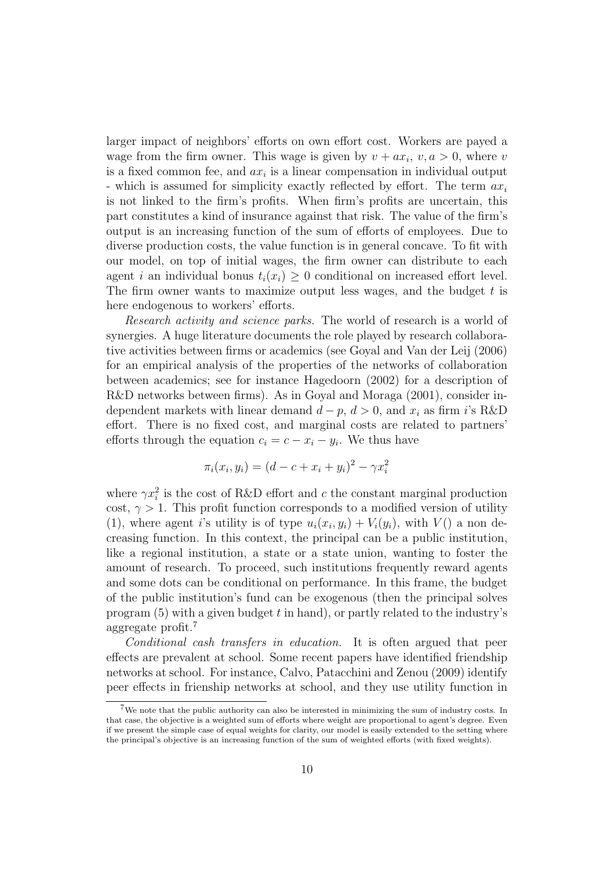larger impact of neighbors' efforts on own effort cost. Workers are payed a wage from the firm owner. This wage is given by  $v + ax_i$ ,  $v, a > 0$ , where v is a fixed common fee, and  $ax_i$  is a linear compensation in individual output - which is assumed for simplicity exactly reflected by effort. The term  $ax_i$ is not linked to the firm's profits. When firm's profits are uncertain, this part constitutes a kind of insurance against that risk. The value of the firm's output is an increasing function of the sum of efforts of employees. Due to diverse production costs, the value function is in general concave. To fit with our model, on top of initial wages, the firm owner can distribute to each agent i an individual bonus  $t_i(x_i) \geq 0$  conditional on increased effort level. The firm owner wants to maximize output less wages, and the budget  $t$  is here endogenous to workers' efforts.

Research activity and science parks. The world of research is a world of synergies. A huge literature documents the role played by research collaborative activities between firms or academics (see Goyal and Van der Leij (2006) for an empirical analysis of the properties of the networks of collaboration between academics; see for instance Hagedoorn (2002) for a description of R&D networks between firms). As in Goyal and Moraga (2001), consider independent markets with linear demand  $d - p$ ,  $d > 0$ , and  $x_i$  as firm i's R&D effort. There is no fixed cost, and marginal costs are related to partners' efforts through the equation  $c_i = c - x_i - y_i$ . We thus have

$$
\pi_i(x_i, y_i) = (d - c + x_i + y_i)^2 - \gamma x_i^2
$$

where  $\gamma x_i^2$  is the cost of R&D effort and c the constant marginal production cost,  $\gamma > 1$ . This profit function corresponds to a modified version of utility (1), where agent i's utility is of type  $u_i(x_i, y_i) + V_i(y_i)$ , with  $V()$  a non decreasing function. In this context, the principal can be a public institution, like a regional institution, a state or a state union, wanting to foster the amount of research. To proceed, such institutions frequently reward agents and some dots can be conditional on performance. In this frame, the budget of the public institution's fund can be exogenous (then the principal solves program  $(5)$  with a given budget t in hand), or partly related to the industry's aggregate profit.<sup>7</sup>

Conditional cash transfers in education. It is often argued that peer effects are prevalent at school. Some recent papers have identified friendship networks at school. For instance, Calvo, Patacchini and Zenou (2009) identify peer effects in frienship networks at school, and they use utility function in

 $7$ We note that the public authority can also be interested in minimizing the sum of industry costs. In that case, the objective is a weighted sum of efforts where weight are proportional to agent's degree. Even if we present the simple case of equal weights for clarity, our model is easily extended to the setting where the principal's objective is an increasing function of the sum of weighted efforts (with fixed weights).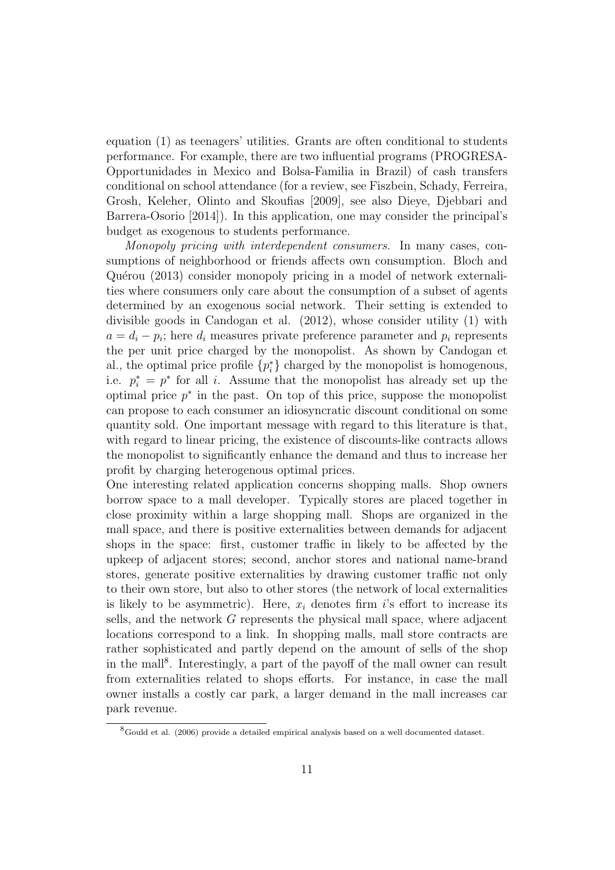equation (1) as teenagers' utilities. Grants are often conditional to students performance. For example, there are two influential programs (PROGRESA-Opportunidades in Mexico and Bolsa-Familia in Brazil) of cash transfers conditional on school attendance (for a review, see Fiszbein, Schady, Ferreira, Grosh, Keleher, Olinto and Skoufias [2009], see also Dieye, Djebbari and Barrera-Osorio [2014]). In this application, one may consider the principal's budget as exogenous to students performance.

Monopoly pricing with interdependent consumers. In many cases, consumptions of neighborhood or friends affects own consumption. Bloch and Quérou (2013) consider monopoly pricing in a model of network externalities where consumers only care about the consumption of a subset of agents determined by an exogenous social network. Their setting is extended to divisible goods in Candogan et al. (2012), whose consider utility (1) with  $a = d_i - p_i$ ; here  $d_i$  measures private preference parameter and  $p_i$  represents the per unit price charged by the monopolist. As shown by Candogan et al., the optimal price profile  $\{p_i^*\}$  charged by the monopolist is homogenous, i.e.  $p_i^* = p^*$  for all i. Assume that the monopolist has already set up the optimal price  $p^*$  in the past. On top of this price, suppose the monopolist can propose to each consumer an idiosyncratic discount conditional on some quantity sold. One important message with regard to this literature is that, with regard to linear pricing, the existence of discounts-like contracts allows the monopolist to significantly enhance the demand and thus to increase her profit by charging heterogenous optimal prices.

One interesting related application concerns shopping malls. Shop owners borrow space to a mall developer. Typically stores are placed together in close proximity within a large shopping mall. Shops are organized in the mall space, and there is positive externalities between demands for adjacent shops in the space: first, customer traffic in likely to be affected by the upkeep of adjacent stores; second, anchor stores and national name-brand stores, generate positive externalities by drawing customer traffic not only to their own store, but also to other stores (the network of local externalities is likely to be asymmetric). Here,  $x_i$  denotes firm i's effort to increase its sells, and the network G represents the physical mall space, where adjacent locations correspond to a link. In shopping malls, mall store contracts are rather sophisticated and partly depend on the amount of sells of the shop in the mall<sup>8</sup>. Interestingly, a part of the payoff of the mall owner can result from externalities related to shops efforts. For instance, in case the mall owner installs a costly car park, a larger demand in the mall increases car park revenue.

 ${}^{8}$ Gould et al. (2006) provide a detailed empirical analysis based on a well documented dataset.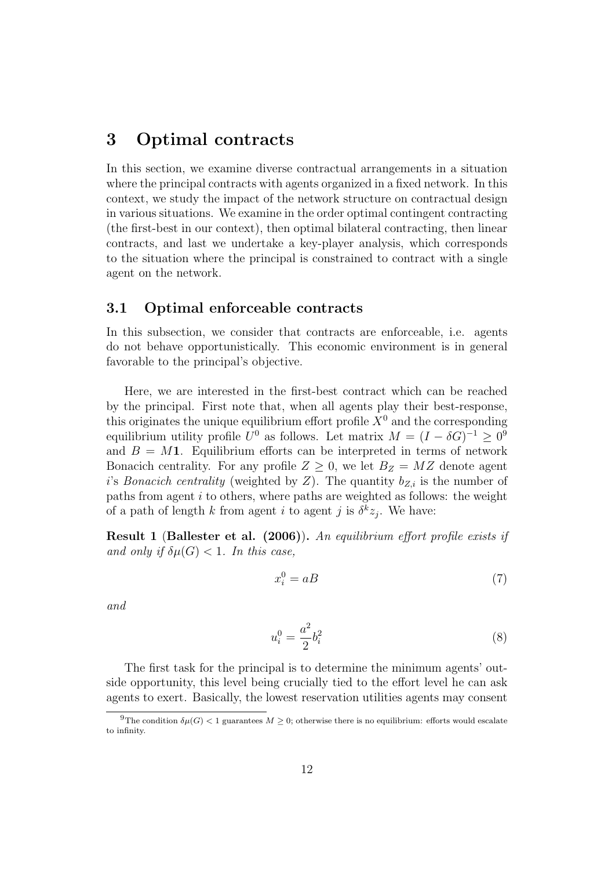## 3 Optimal contracts

In this section, we examine diverse contractual arrangements in a situation where the principal contracts with agents organized in a fixed network. In this context, we study the impact of the network structure on contractual design in various situations. We examine in the order optimal contingent contracting (the first-best in our context), then optimal bilateral contracting, then linear contracts, and last we undertake a key-player analysis, which corresponds to the situation where the principal is constrained to contract with a single agent on the network.

#### 3.1 Optimal enforceable contracts

In this subsection, we consider that contracts are enforceable, i.e. agents do not behave opportunistically. This economic environment is in general favorable to the principal's objective.

Here, we are interested in the first-best contract which can be reached by the principal. First note that, when all agents play their best-response, this originates the unique equilibrium effort profile  $X^0$  and the corresponding equilibrium utility profile  $U^0$  as follows. Let matrix  $M = (I - \delta G)^{-1} \geq 0^9$ and  $B = M1$ . Equilibrium efforts can be interpreted in terms of network Bonacich centrality. For any profile  $Z \geq 0$ , we let  $B_Z = MZ$  denote agent i's Bonacich centrality (weighted by Z). The quantity  $b_{Z,i}$  is the number of paths from agent  $i$  to others, where paths are weighted as follows: the weight of a path of length k from agent i to agent j is  $\delta^k z_j$ . We have:

Result 1 (Ballester et al. (2006)). An equilibrium effort profile exists if and only if  $\delta\mu(G) < 1$ . In this case,

$$
x_i^0 = aB \tag{7}
$$

and

$$
u_i^0 = \frac{a^2}{2} b_i^2 \tag{8}
$$

The first task for the principal is to determine the minimum agents' outside opportunity, this level being crucially tied to the effort level he can ask agents to exert. Basically, the lowest reservation utilities agents may consent

<sup>&</sup>lt;sup>9</sup>The condition  $\delta\mu(G)$  < 1 guarantees  $M \geq 0$ ; otherwise there is no equilibrium: efforts would escalate to infinity.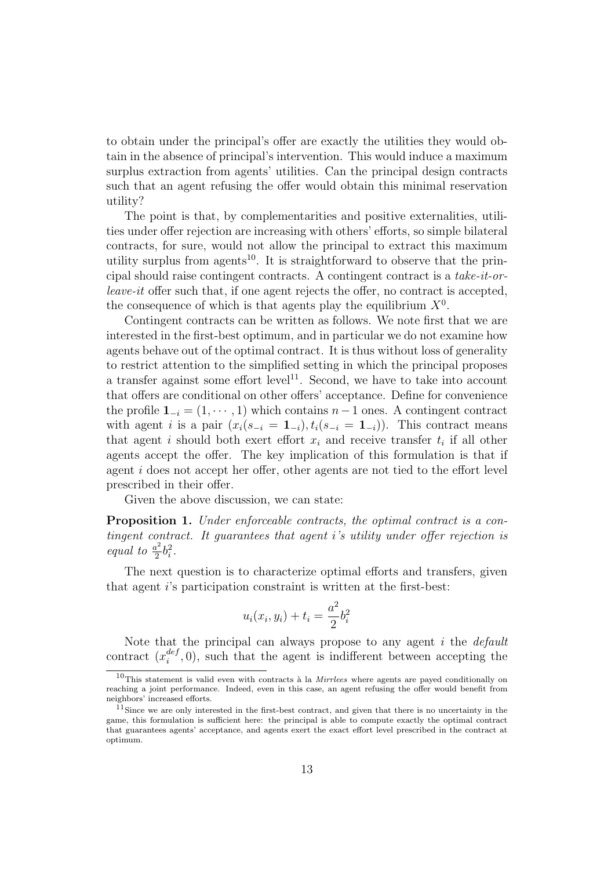to obtain under the principal's offer are exactly the utilities they would obtain in the absence of principal's intervention. This would induce a maximum surplus extraction from agents' utilities. Can the principal design contracts such that an agent refusing the offer would obtain this minimal reservation utility?

The point is that, by complementarities and positive externalities, utilities under offer rejection are increasing with others' efforts, so simple bilateral contracts, for sure, would not allow the principal to extract this maximum utility surplus from agents<sup>10</sup>. It is straightforward to observe that the principal should raise contingent contracts. A contingent contract is a take-it-orleave-it offer such that, if one agent rejects the offer, no contract is accepted, the consequence of which is that agents play the equilibrium  $X^0$ .

Contingent contracts can be written as follows. We note first that we are interested in the first-best optimum, and in particular we do not examine how agents behave out of the optimal contract. It is thus without loss of generality to restrict attention to the simplified setting in which the principal proposes a transfer against some effort level<sup>11</sup>. Second, we have to take into account that offers are conditional on other offers' acceptance. Define for convenience the profile  $\mathbf{1}_{-i} = (1, \dots, 1)$  which contains  $n-1$  ones. A contingent contract with agent i is a pair  $(x_i(s_{-i} = 1_{-i}), t_i(s_{-i} = 1_{-i}))$ . This contract means that agent i should both exert effort  $x_i$  and receive transfer  $t_i$  if all other agents accept the offer. The key implication of this formulation is that if agent i does not accept her offer, other agents are not tied to the effort level prescribed in their offer.

Given the above discussion, we can state:

Proposition 1. Under enforceable contracts, the optimal contract is a contingent contract. It guarantees that agent i's utility under offer rejection is equal to  $\frac{a^2}{2}$  $\frac{i^2}{2}b_i^2$ .

The next question is to characterize optimal efforts and transfers, given that agent i's participation constraint is written at the first-best:

$$
u_i(x_i, y_i) + t_i = \frac{a^2}{2}b_i^2
$$

Note that the principal can always propose to any agent  $i$  the *default* contract  $(x_i^{def}$  $e^{i\omega t}$ , (0), such that the agent is indifferent between accepting the

 $10$ This statement is valid even with contracts à la *Mirrlees* where agents are payed conditionally on reaching a joint performance. Indeed, even in this case, an agent refusing the offer would benefit from neighbors' increased efforts.

 $11$ Since we are only interested in the first-best contract, and given that there is no uncertainty in the game, this formulation is sufficient here: the principal is able to compute exactly the optimal contract that guarantees agents' acceptance, and agents exert the exact effort level prescribed in the contract at optimum.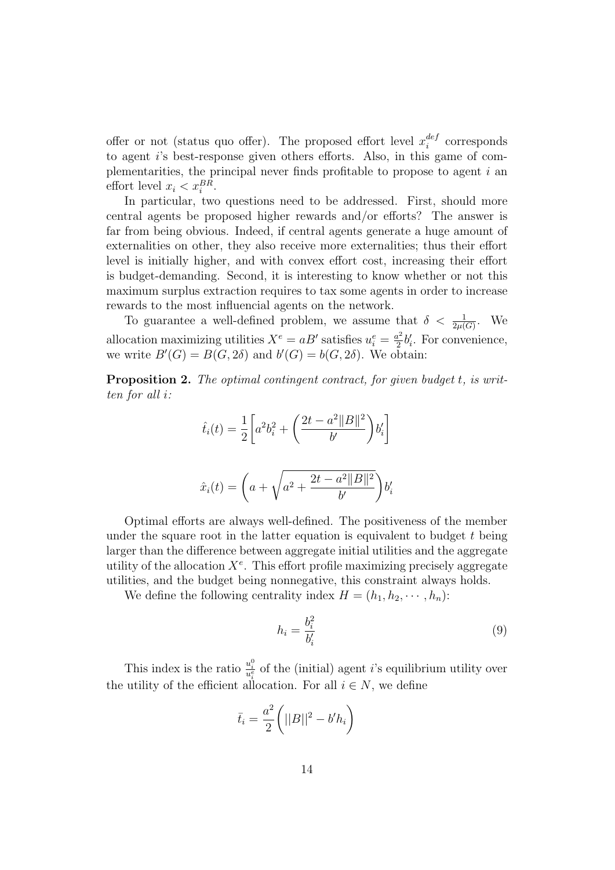offer or not (status quo offer). The proposed effort level  $x_i^{def}$  $i$ <sup>def</sup> corresponds to agent i's best-response given others efforts. Also, in this game of complementarities, the principal never finds profitable to propose to agent  $i$  and effort level  $x_i < x_i^{BR}$ .

In particular, two questions need to be addressed. First, should more central agents be proposed higher rewards and/or efforts? The answer is far from being obvious. Indeed, if central agents generate a huge amount of externalities on other, they also receive more externalities; thus their effort level is initially higher, and with convex effort cost, increasing their effort is budget-demanding. Second, it is interesting to know whether or not this maximum surplus extraction requires to tax some agents in order to increase rewards to the most influencial agents on the network.

To guarantee a well-defined problem, we assume that  $\delta < \frac{1}{2\mu(G)}$ . We allocation maximizing utilities  $X^e = aB'$  satisfies  $u_i^e = \frac{a^2}{2}$  $\frac{a^2}{2}b'_i$ . For convenience, we write  $B'(G) = B(G, 2\delta)$  and  $b'(G) = b(G, 2\delta)$ . We obtain:

**Proposition 2.** The optimal contingent contract, for given budget t, is written for all i:

$$
\hat{t}_i(t) = \frac{1}{2} \left[ a^2 b_i^2 + \left( \frac{2t - a^2 ||B||^2}{b'} \right) b_i' \right]
$$

$$
\hat{x}_i(t) = \left(a + \sqrt{a^2 + \frac{2t - a^2 ||B||^2}{b'}}\right) b_i'
$$

Optimal efforts are always well-defined. The positiveness of the member under the square root in the latter equation is equivalent to budget  $t$  being larger than the difference between aggregate initial utilities and the aggregate utility of the allocation  $X^e$ . This effort profile maximizing precisely aggregate utilities, and the budget being nonnegative, this constraint always holds.

We define the following centrality index  $H = (h_1, h_2, \dots, h_n)$ :

$$
h_i = \frac{b_i^2}{b_i'} \tag{9}
$$

This index is the ratio  $\frac{u_i^0}{u_i^e}$  of the (initial) agent *i*'s equilibrium utility over the utility of the efficient allocation. For all  $i \in N$ , we define

$$
\bar{t}_i = \frac{a^2}{2} \bigg( ||B||^2 - b'h_i \bigg)
$$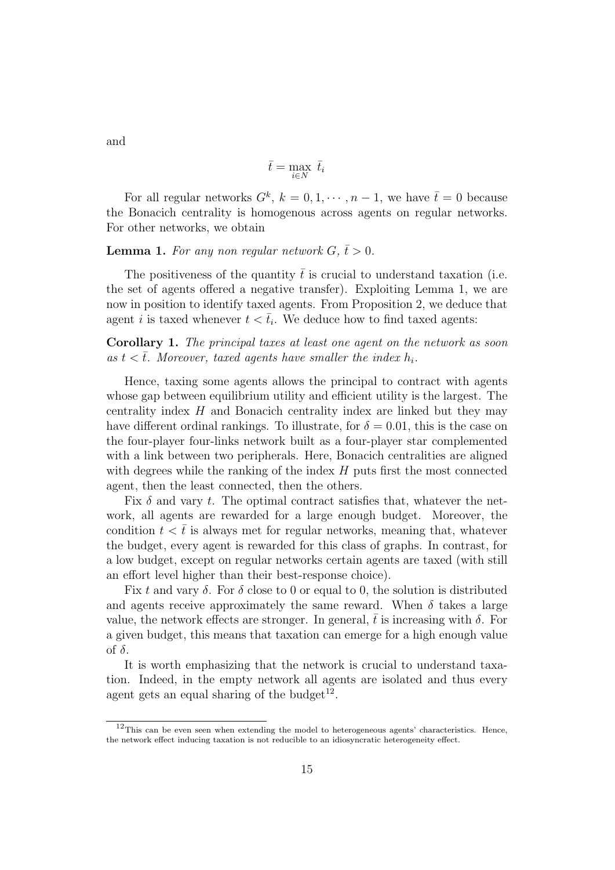and

$$
\bar{t} = \max_{i \in N} \ \bar{t}_i
$$

For all regular networks  $G^k$ ,  $k = 0, 1, \dots, n-1$ , we have  $\bar{t} = 0$  because the Bonacich centrality is homogenous across agents on regular networks. For other networks, we obtain

#### **Lemma 1.** For any non regular network  $G, \bar{t} > 0$ .

The positiveness of the quantity  $\bar{t}$  is crucial to understand taxation (i.e. the set of agents offered a negative transfer). Exploiting Lemma 1, we are now in position to identify taxed agents. From Proposition 2, we deduce that agent *i* is taxed whenever  $t < \bar{t}_i$ . We deduce how to find taxed agents:

Corollary 1. The principal taxes at least one agent on the network as soon as  $t < \overline{t}$ . Moreover, taxed agents have smaller the index  $h_i$ .

Hence, taxing some agents allows the principal to contract with agents whose gap between equilibrium utility and efficient utility is the largest. The centrality index H and Bonacich centrality index are linked but they may have different ordinal rankings. To illustrate, for  $\delta = 0.01$ , this is the case on the four-player four-links network built as a four-player star complemented with a link between two peripherals. Here, Bonacich centralities are aligned with degrees while the ranking of the index  $H$  puts first the most connected agent, then the least connected, then the others.

Fix  $\delta$  and vary t. The optimal contract satisfies that, whatever the network, all agents are rewarded for a large enough budget. Moreover, the condition  $t < \bar{t}$  is always met for regular networks, meaning that, whatever the budget, every agent is rewarded for this class of graphs. In contrast, for a low budget, except on regular networks certain agents are taxed (with still an effort level higher than their best-response choice).

Fix t and vary  $\delta$ . For  $\delta$  close to 0 or equal to 0, the solution is distributed and agents receive approximately the same reward. When  $\delta$  takes a large value, the network effects are stronger. In general, t is increasing with  $\delta$ . For a given budget, this means that taxation can emerge for a high enough value of  $\delta$ .

It is worth emphasizing that the network is crucial to understand taxation. Indeed, in the empty network all agents are isolated and thus every agent gets an equal sharing of the budget<sup>12</sup>.

<sup>&</sup>lt;sup>12</sup>This can be even seen when extending the model to heterogeneous agents' characteristics. Hence, the network effect inducing taxation is not reducible to an idiosyncratic heterogeneity effect.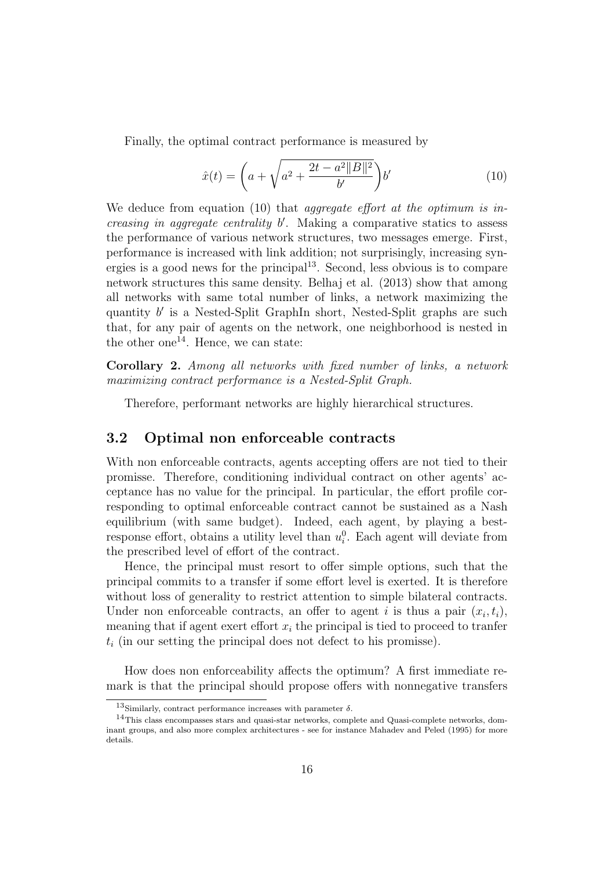Finally, the optimal contract performance is measured by

$$
\hat{x}(t) = \left(a + \sqrt{a^2 + \frac{2t - a^2 ||B||^2}{b'}}\right) b' \tag{10}
$$

We deduce from equation (10) that *aggregate effort at the optimum is in*creasing in aggregate centrality  $b'$ . Making a comparative statics to assess the performance of various network structures, two messages emerge. First, performance is increased with link addition; not surprisingly, increasing synergies is a good news for the principal<sup>13</sup>. Second, less obvious is to compare network structures this same density. Belhaj et al. (2013) show that among all networks with same total number of links, a network maximizing the quantity b' is a Nested-Split GraphIn short, Nested-Split graphs are such that, for any pair of agents on the network, one neighborhood is nested in the other one<sup>14</sup>. Hence, we can state:

Corollary 2. Among all networks with fixed number of links, a network maximizing contract performance is a Nested-Split Graph.

Therefore, performant networks are highly hierarchical structures.

#### 3.2 Optimal non enforceable contracts

With non enforceable contracts, agents accepting offers are not tied to their promisse. Therefore, conditioning individual contract on other agents' acceptance has no value for the principal. In particular, the effort profile corresponding to optimal enforceable contract cannot be sustained as a Nash equilibrium (with same budget). Indeed, each agent, by playing a bestresponse effort, obtains a utility level than  $u_i^0$ . Each agent will deviate from the prescribed level of effort of the contract.

Hence, the principal must resort to offer simple options, such that the principal commits to a transfer if some effort level is exerted. It is therefore without loss of generality to restrict attention to simple bilateral contracts. Under non enforceable contracts, an offer to agent i is thus a pair  $(x_i, t_i)$ , meaning that if agent exert effort  $x_i$  the principal is tied to proceed to tranfer  $t_i$  (in our setting the principal does not defect to his promisse).

How does non enforceability affects the optimum? A first immediate remark is that the principal should propose offers with nonnegative transfers

<sup>&</sup>lt;sup>13</sup>Similarly, contract performance increases with parameter  $\delta$ .

<sup>&</sup>lt;sup>14</sup>This class encompasses stars and quasi-star networks, complete and Quasi-complete networks, dominant groups, and also more complex architectures - see for instance Mahadev and Peled (1995) for more details.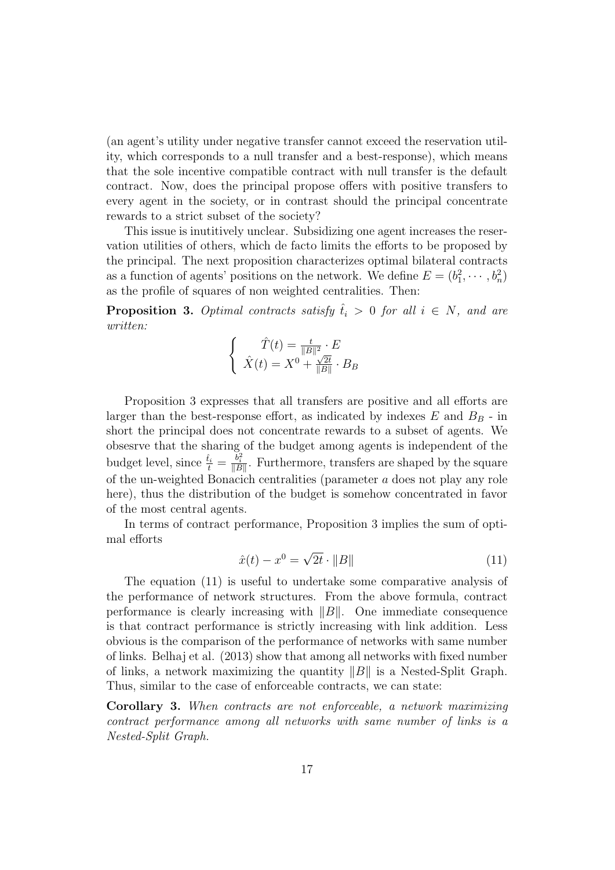(an agent's utility under negative transfer cannot exceed the reservation utility, which corresponds to a null transfer and a best-response), which means that the sole incentive compatible contract with null transfer is the default contract. Now, does the principal propose offers with positive transfers to every agent in the society, or in contrast should the principal concentrate rewards to a strict subset of the society?

This issue is inutitively unclear. Subsidizing one agent increases the reservation utilities of others, which de facto limits the efforts to be proposed by the principal. The next proposition characterizes optimal bilateral contracts as a function of agents' positions on the network. We define  $E = (b_1^2, \dots, b_n^2)$ as the profile of squares of non weighted centralities. Then:

**Proposition 3.** Optimal contracts satisfy  $\hat{t}_i > 0$  for all  $i \in N$ , and are written:

$$
\begin{cases}\n\hat{T}(t) = \frac{t}{\|B\|^2} \cdot E \\
\hat{X}(t) = X^0 + \frac{\sqrt{2t}}{\|B\|} \cdot B_B\n\end{cases}
$$

Proposition 3 expresses that all transfers are positive and all efforts are larger than the best-response effort, as indicated by indexes  $E$  and  $B_B$  - in short the principal does not concentrate rewards to a subset of agents. We obsesrve that the sharing of the budget among agents is independent of the budget level, since  $\frac{\hat{t}_i}{t} = \frac{b_i^2}{\|B\|}$ . Furthermore, transfers are shaped by the square of the un-weighted Bonacich centralities (parameter a does not play any role here), thus the distribution of the budget is somehow concentrated in favor of the most central agents.

In terms of contract performance, Proposition 3 implies the sum of optimal efforts

$$
\hat{x}(t) - x^0 = \sqrt{2t} \cdot ||B|| \tag{11}
$$

The equation (11) is useful to undertake some comparative analysis of the performance of network structures. From the above formula, contract performance is clearly increasing with  $||B||$ . One immediate consequence is that contract performance is strictly increasing with link addition. Less obvious is the comparison of the performance of networks with same number of links. Belhaj et al. (2013) show that among all networks with fixed number of links, a network maximizing the quantity  $||B||$  is a Nested-Split Graph. Thus, similar to the case of enforceable contracts, we can state:

Corollary 3. When contracts are not enforceable, a network maximizing contract performance among all networks with same number of links is a Nested-Split Graph.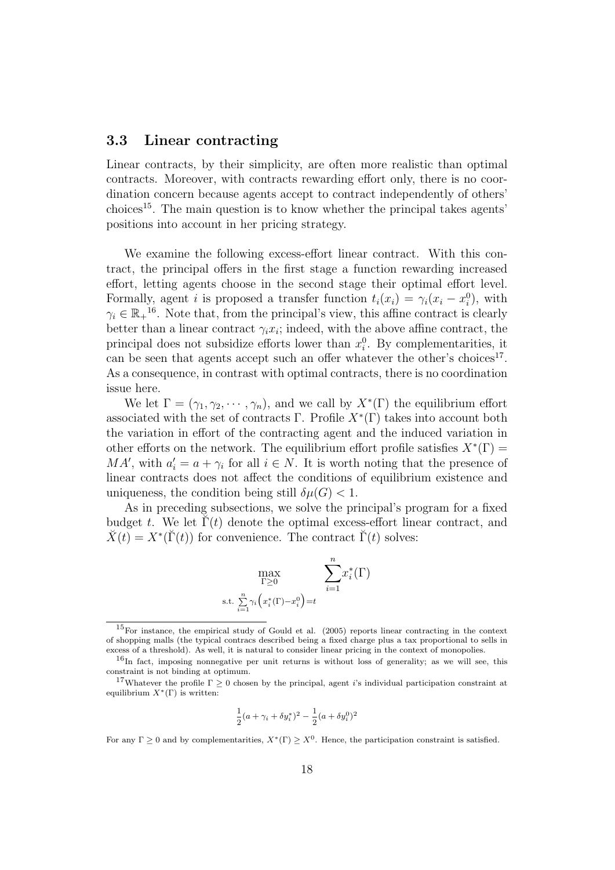#### 3.3 Linear contracting

Linear contracts, by their simplicity, are often more realistic than optimal contracts. Moreover, with contracts rewarding effort only, there is no coordination concern because agents accept to contract independently of others'  $\alpha$ choices<sup>15</sup>. The main question is to know whether the principal takes agents' positions into account in her pricing strategy.

We examine the following excess-effort linear contract. With this contract, the principal offers in the first stage a function rewarding increased effort, letting agents choose in the second stage their optimal effort level. Formally, agent i is proposed a transfer function  $t_i(x_i) = \gamma_i(x_i - x_i^0)$ , with  $\gamma_i \in \mathbb{R}_+^{16}$ . Note that, from the principal's view, this affine contract is clearly better than a linear contract  $\gamma_i x_i$ ; indeed, with the above affine contract, the principal does not subsidize efforts lower than  $x_i^0$ . By complementarities, it can be seen that agents accept such an offer whatever the other's choices<sup>17</sup>. As a consequence, in contrast with optimal contracts, there is no coordination issue here.

We let  $\Gamma = (\gamma_1, \gamma_2, \cdots, \gamma_n)$ , and we call by  $X^*(\Gamma)$  the equilibrium effort associated with the set of contracts  $\Gamma$ . Profile  $X^*(\Gamma)$  takes into account both the variation in effort of the contracting agent and the induced variation in other efforts on the network. The equilibrium effort profile satisfies  $X^*(\Gamma) =$  $MA'$ , with  $a'_i = a + \gamma_i$  for all  $i \in N$ . It is worth noting that the presence of linear contracts does not affect the conditions of equilibrium existence and uniqueness, the condition being still  $\delta \mu(G) < 1$ .

As in preceding subsections, we solve the principal's program for a fixed budget t. We let  $\Gamma(t)$  denote the optimal excess-effort linear contract, and  $\breve{X}(t) = X^*(\breve{\Gamma}(t))$  for convenience. The contract  $\breve{\Gamma}(t)$  solves:

$$
\max_{\Gamma \ge 0} \sum_{\zeta = 1}^n x_i^*(\Gamma)
$$
 s.t. 
$$
\sum_{i=1}^n \gamma_i (x_i^*(\Gamma) - x_i^0) = t
$$

$$
\frac{1}{2}(a + \gamma_i + \delta y_i^*)^2 - \frac{1}{2}(a + \delta y_i^0)^2
$$

For any  $\Gamma \geq 0$  and by complementarities,  $X^*(\Gamma) \geq X^0$ . Hence, the participation constraint is satisfied.

<sup>15</sup>For instance, the empirical study of Gould et al. (2005) reports linear contracting in the context of shopping malls (the typical contracs described being a fixed charge plus a tax proportional to sells in excess of a threshold). As well, it is natural to consider linear pricing in the context of monopolies.

<sup>&</sup>lt;sup>16</sup>In fact, imposing nonnegative per unit returns is without loss of generality; as we will see, this constraint is not binding at optimum.

<sup>&</sup>lt;sup>17</sup>Whatever the profile  $\Gamma \geq 0$  chosen by the principal, agent i's individual participation constraint at equilibrium  $X^*(\Gamma)$  is written: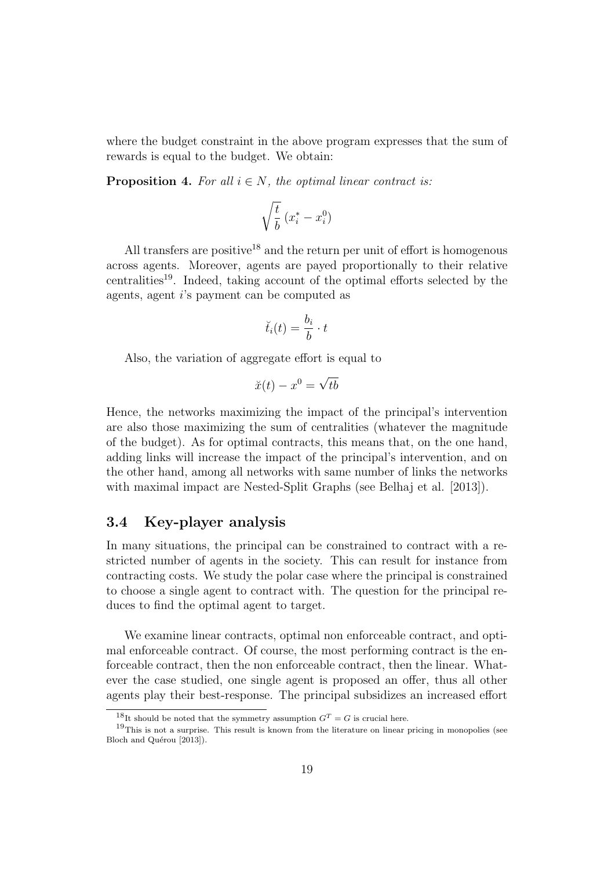where the budget constraint in the above program expresses that the sum of rewards is equal to the budget. We obtain:

**Proposition 4.** For all  $i \in N$ , the optimal linear contract is:

$$
\sqrt{\frac{t}{b}}\;(x^*_i-x^0_i)
$$

All transfers are positive<sup>18</sup> and the return per unit of effort is homogenous across agents. Moreover, agents are payed proportionally to their relative centralities<sup>19</sup>. Indeed, taking account of the optimal efforts selected by the agents, agent i's payment can be computed as

$$
\breve{t}_i(t) = \frac{b_i}{b} \cdot t
$$

Also, the variation of aggregate effort is equal to

$$
\breve{x}(t) - x^0 = \sqrt{tb}
$$

Hence, the networks maximizing the impact of the principal's intervention are also those maximizing the sum of centralities (whatever the magnitude of the budget). As for optimal contracts, this means that, on the one hand, adding links will increase the impact of the principal's intervention, and on the other hand, among all networks with same number of links the networks with maximal impact are Nested-Split Graphs (see Belhaj et al. [2013]).

#### 3.4 Key-player analysis

In many situations, the principal can be constrained to contract with a restricted number of agents in the society. This can result for instance from contracting costs. We study the polar case where the principal is constrained to choose a single agent to contract with. The question for the principal reduces to find the optimal agent to target.

We examine linear contracts, optimal non enforceable contract, and optimal enforceable contract. Of course, the most performing contract is the enforceable contract, then the non enforceable contract, then the linear. Whatever the case studied, one single agent is proposed an offer, thus all other agents play their best-response. The principal subsidizes an increased effort

<sup>&</sup>lt;sup>18</sup>It should be noted that the symmetry assumption  $G<sup>T</sup> = G$  is crucial here.

 $19$ This is not a surprise. This result is known from the literature on linear pricing in monopolies (see Bloch and Quérou [2013]).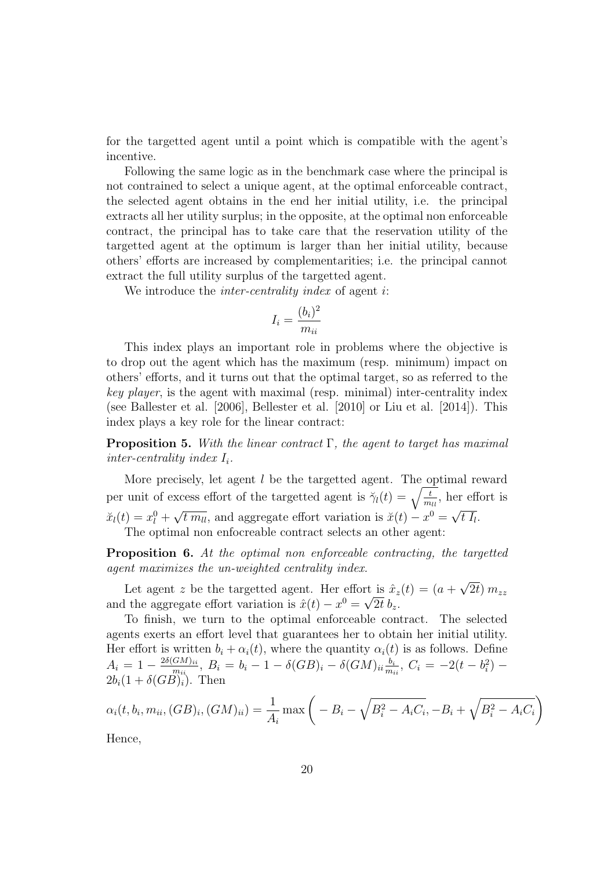for the targetted agent until a point which is compatible with the agent's incentive.

Following the same logic as in the benchmark case where the principal is not contrained to select a unique agent, at the optimal enforceable contract, the selected agent obtains in the end her initial utility, i.e. the principal extracts all her utility surplus; in the opposite, at the optimal non enforceable contract, the principal has to take care that the reservation utility of the targetted agent at the optimum is larger than her initial utility, because others' efforts are increased by complementarities; i.e. the principal cannot extract the full utility surplus of the targetted agent.

We introduce the *inter-centrality index* of agent *i*:

$$
I_i = \frac{(b_i)^2}{m_{ii}}
$$

This index plays an important role in problems where the objective is to drop out the agent which has the maximum (resp. minimum) impact on others' efforts, and it turns out that the optimal target, so as referred to the key player, is the agent with maximal (resp. minimal) inter-centrality index (see Ballester et al. [2006], Bellester et al. [2010] or Liu et al. [2014]). This index plays a key role for the linear contract:

**Proposition 5.** With the linear contract  $\Gamma$ , the agent to target has maximal inter-centrality index  $I_i$ .

More precisely, let agent  $l$  be the targetted agent. The optimal reward per unit of excess effort of the targetted agent is  $\breve{\gamma}_l(t) = \sqrt{\frac{t}{m_{ll}}},$  her effort is  $\ddot{x}_l(t) = x_l^0 + \sqrt{t m_{ll}}$ , and aggregate effort variation is  $\ddot{x}(t) - x^0 = \sqrt{t l_l}$ .  $\begin{array}{ccc} \sqrt{m_{ll}} \\ \hline \end{array}$ The optimal non enfocreable contract selects an other agent:

Proposition 6. At the optimal non enforceable contracting, the targetted agent maximizes the un-weighted centrality index.

Let agent z be the targetted agent. Her effort is  $\hat{x}_z(t) = (a +$ √ rt is  $\hat{x}_z(t) = (a + \sqrt{2t}) m_{zz}$ and the aggregate effort variation is  $\hat{x}(t) - x^0 = \sqrt{2t} b_z$ .

To finish, we turn to the optimal enforceable contract. The selected agents exerts an effort level that guarantees her to obtain her initial utility. Her effort is written  $b_i + \alpha_i(t)$ , where the quantity  $\alpha_i(t)$  is as follows. Define  $A_i = 1 - \frac{2\delta (G M)_{ii}}{m_{ii}}$  $\frac{GM)_{ii}}{m_{ii}}, B_i = b_i - 1 - \delta (GB)_i - \delta (GM)_{ii} \frac{b_i}{m_{ii}}$  $\frac{b_i}{m_{ii}},\ C_i = -2(t-b_i^2) 2b_i(1+\delta(GB)_i)$ . Then

$$
\alpha_i(t, b_i, m_{ii}, (GB)_i, (GM)_{ii}) = \frac{1}{A_i} \max \left( -B_i - \sqrt{B_i^2 - A_i C_i}, -B_i + \sqrt{B_i^2 - A_i C_i} \right)
$$

Hence,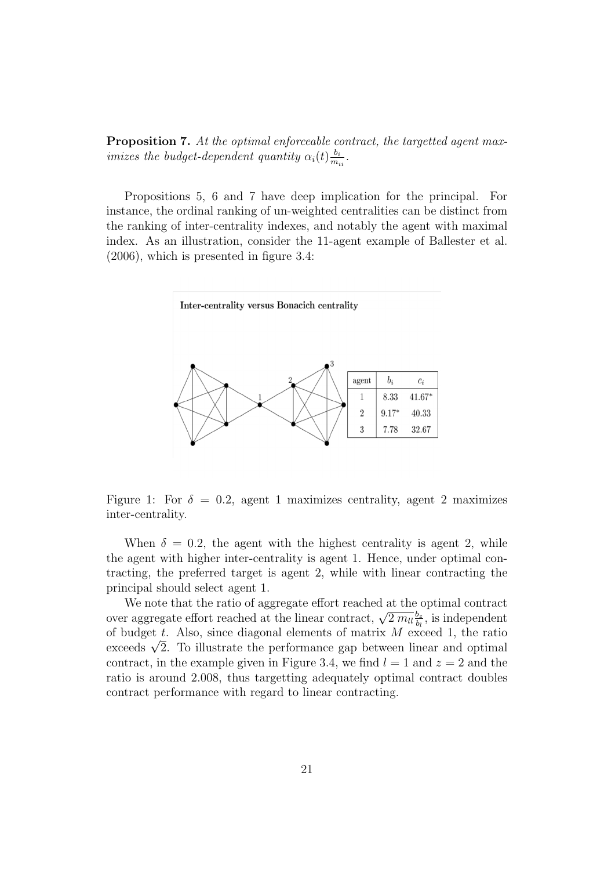Proposition 7. At the optimal enforceable contract, the targetted agent maximizes the budget-dependent quantity  $\alpha_i(t) \frac{b_i}{m}$  $\frac{b_i}{m_{ii}}$ .

Propositions 5, 6 and 7 have deep implication for the principal. For instance, the ordinal ranking of un-weighted centralities can be distinct from the ranking of inter-centrality indexes, and notably the agent with maximal index. As an illustration, consider the 11-agent example of Ballester et al. (2006), which is presented in figure 3.4:



Figure 1: For  $\delta = 0.2$ , agent 1 maximizes centrality, agent 2 maximizes inter-centrality.

When  $\delta = 0.2$ , the agent with the highest centrality is agent 2, while the agent with higher inter-centrality is agent 1. Hence, under optimal contracting, the preferred target is agent 2, while with linear contracting the principal should select agent 1.

We note that the ratio of aggregate effort reached at the optimal contract we note that the ratio of aggregate effort reached at the linear contract,  $\sqrt{2 m_l l_b^2}$  $\frac{b_z}{b_l}$ , is independent of budget t. Also, since diagonal elements of matrix  $M$  exceed 1, the ratio or budget *t*. Also, since diagonal elements or matrix *M* exceed 1, the ratio exceeds  $\sqrt{2}$ . To illustrate the performance gap between linear and optimal contract, in the example given in Figure 3.4, we find  $l = 1$  and  $z = 2$  and the ratio is around 2.008, thus targetting adequately optimal contract doubles contract performance with regard to linear contracting.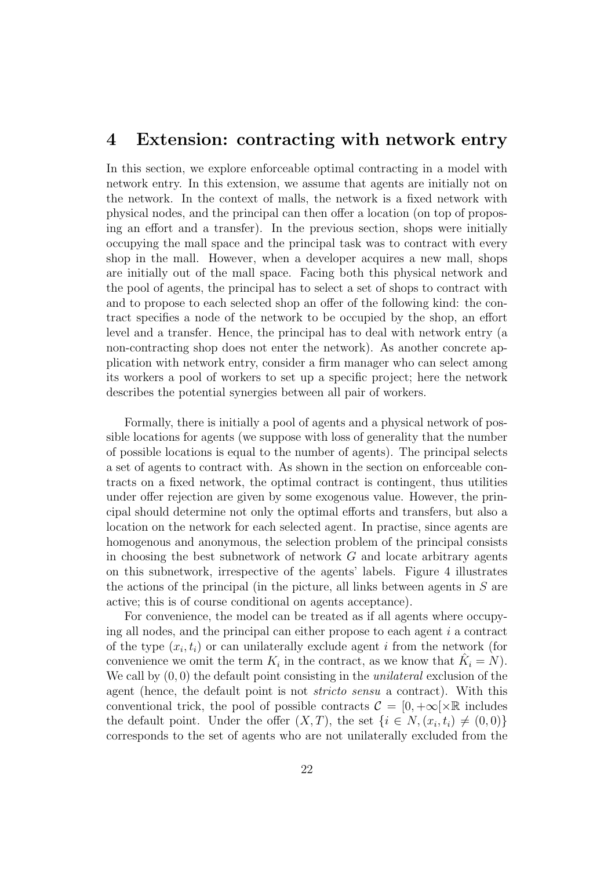### 4 Extension: contracting with network entry

In this section, we explore enforceable optimal contracting in a model with network entry. In this extension, we assume that agents are initially not on the network. In the context of malls, the network is a fixed network with physical nodes, and the principal can then offer a location (on top of proposing an effort and a transfer). In the previous section, shops were initially occupying the mall space and the principal task was to contract with every shop in the mall. However, when a developer acquires a new mall, shops are initially out of the mall space. Facing both this physical network and the pool of agents, the principal has to select a set of shops to contract with and to propose to each selected shop an offer of the following kind: the contract specifies a node of the network to be occupied by the shop, an effort level and a transfer. Hence, the principal has to deal with network entry (a non-contracting shop does not enter the network). As another concrete application with network entry, consider a firm manager who can select among its workers a pool of workers to set up a specific project; here the network describes the potential synergies between all pair of workers.

Formally, there is initially a pool of agents and a physical network of possible locations for agents (we suppose with loss of generality that the number of possible locations is equal to the number of agents). The principal selects a set of agents to contract with. As shown in the section on enforceable contracts on a fixed network, the optimal contract is contingent, thus utilities under offer rejection are given by some exogenous value. However, the principal should determine not only the optimal efforts and transfers, but also a location on the network for each selected agent. In practise, since agents are homogenous and anonymous, the selection problem of the principal consists in choosing the best subnetwork of network  $G$  and locate arbitrary agents on this subnetwork, irrespective of the agents' labels. Figure 4 illustrates the actions of the principal (in the picture, all links between agents in  $S$  are active; this is of course conditional on agents acceptance).

For convenience, the model can be treated as if all agents where occupying all nodes, and the principal can either propose to each agent  $i$  a contract of the type  $(x_i, t_i)$  or can unilaterally exclude agent i from the network (for convenience we omit the term  $K_i$  in the contract, as we know that  $\hat{K}_i = N$ ). We call by  $(0, 0)$  the default point consisting in the *unilateral* exclusion of the agent (hence, the default point is not *stricto sensu* a contract). With this conventional trick, the pool of possible contracts  $\mathcal{C} = [0, +\infty[\times \mathbb{R}]$  includes the default point. Under the offer  $(X, T)$ , the set  $\{i \in N, (x_i, t_i) \neq (0, 0)\}\$ corresponds to the set of agents who are not unilaterally excluded from the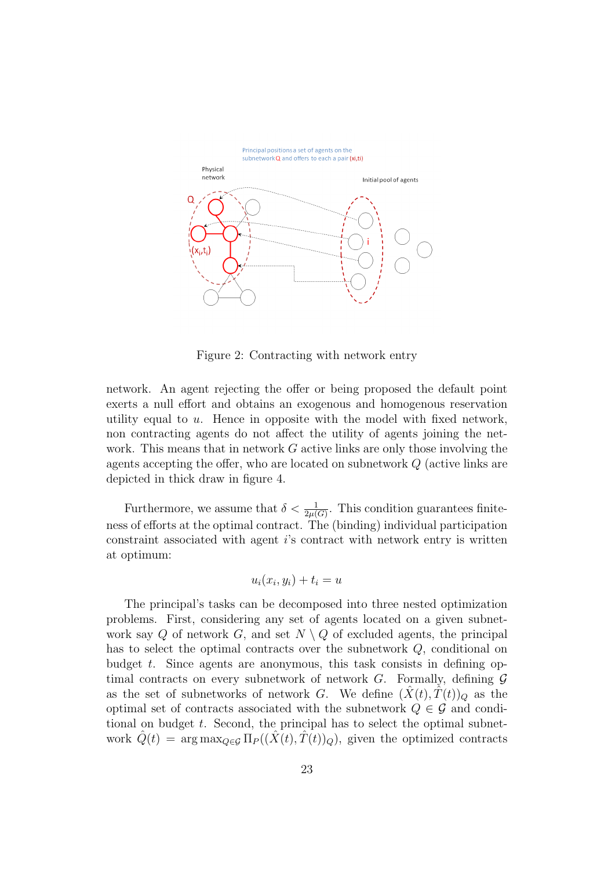

Figure 2: Contracting with network entry

network. An agent rejecting the offer or being proposed the default point exerts a null effort and obtains an exogenous and homogenous reservation utility equal to  $u$ . Hence in opposite with the model with fixed network, non contracting agents do not affect the utility of agents joining the network. This means that in network  $G$  active links are only those involving the agents accepting the offer, who are located on subnetwork Q (active links are depicted in thick draw in figure 4.

Furthermore, we assume that  $\delta < \frac{1}{2\mu(G)}$ . This condition guarantees finiteness of efforts at the optimal contract. The (binding) individual participation constraint associated with agent i's contract with network entry is written at optimum:

$$
u_i(x_i, y_i) + t_i = u
$$

The principal's tasks can be decomposed into three nested optimization problems. First, considering any set of agents located on a given subnetwork say Q of network G, and set  $N \setminus Q$  of excluded agents, the principal has to select the optimal contracts over the subnetwork Q, conditional on budget  $t$ . Since agents are anonymous, this task consists in defining optimal contracts on every subnetwork of network  $G$ . Formally, defining  $\mathcal G$ as the set of subnetworks of network G. We define  $(X(t), T(t))_Q$  as the optimal set of contracts associated with the subnetwork  $Q \in \mathcal{G}$  and conditional on budget  $t$ . Second, the principal has to select the optimal subnetwork  $\tilde{Q}(t) = \arg \max_{Q \in \mathcal{G}} \Pi_P((\tilde{X}(t), T(t))_Q)$ , given the optimized contracts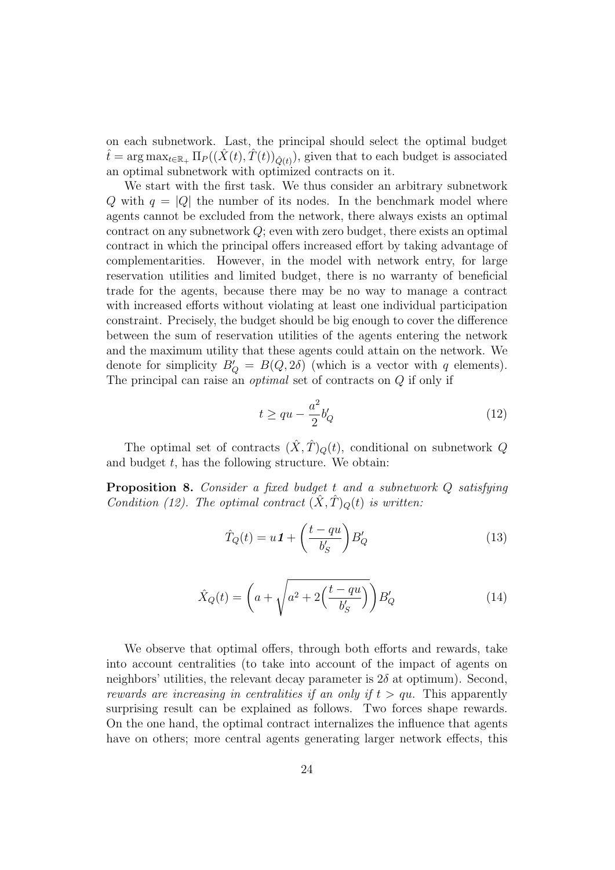on each subnetwork. Last, the principal should select the optimal budget  $\hat{t} = \arg \max_{t \in \mathbb{R}_+} \Pi_P((\hat{X}(t), \hat{T}(t))_{\hat{Q}(t)})$ , given that to each budget is associated an optimal subnetwork with optimized contracts on it.

We start with the first task. We thus consider an arbitrary subnetwork Q with  $q = |Q|$  the number of its nodes. In the benchmark model where agents cannot be excluded from the network, there always exists an optimal contract on any subnetwork Q; even with zero budget, there exists an optimal contract in which the principal offers increased effort by taking advantage of complementarities. However, in the model with network entry, for large reservation utilities and limited budget, there is no warranty of beneficial trade for the agents, because there may be no way to manage a contract with increased efforts without violating at least one individual participation constraint. Precisely, the budget should be big enough to cover the difference between the sum of reservation utilities of the agents entering the network and the maximum utility that these agents could attain on the network. We denote for simplicity  $B'_{Q} = B(Q, 2\delta)$  (which is a vector with q elements). The principal can raise an optimal set of contracts on Q if only if

$$
t \ge qu - \frac{a^2}{2}b'_Q \tag{12}
$$

The optimal set of contracts  $(\hat{X}, \hat{T})_Q(t)$ , conditional on subnetwork Q and budget  $t$ , has the following structure. We obtain:

Proposition 8. Consider a fixed budget t and a subnetwork Q satisfying Condition (12). The optimal contract  $(\hat{X}, \hat{T})_O(t)$  is written:

$$
\hat{T}_Q(t) = u \mathbf{1} + \left(\frac{t - qu}{b_S'}\right) B_Q' \tag{13}
$$

$$
\hat{X}_Q(t) = \left(a + \sqrt{a^2 + 2\left(\frac{t - qu}{b_S'}\right)}\right) B_Q' \tag{14}
$$

We observe that optimal offers, through both efforts and rewards, take into account centralities (to take into account of the impact of agents on neighbors' utilities, the relevant decay parameter is  $2\delta$  at optimum). Second, rewards are increasing in centralities if an only if  $t > qu$ . This apparently surprising result can be explained as follows. Two forces shape rewards. On the one hand, the optimal contract internalizes the influence that agents have on others; more central agents generating larger network effects, this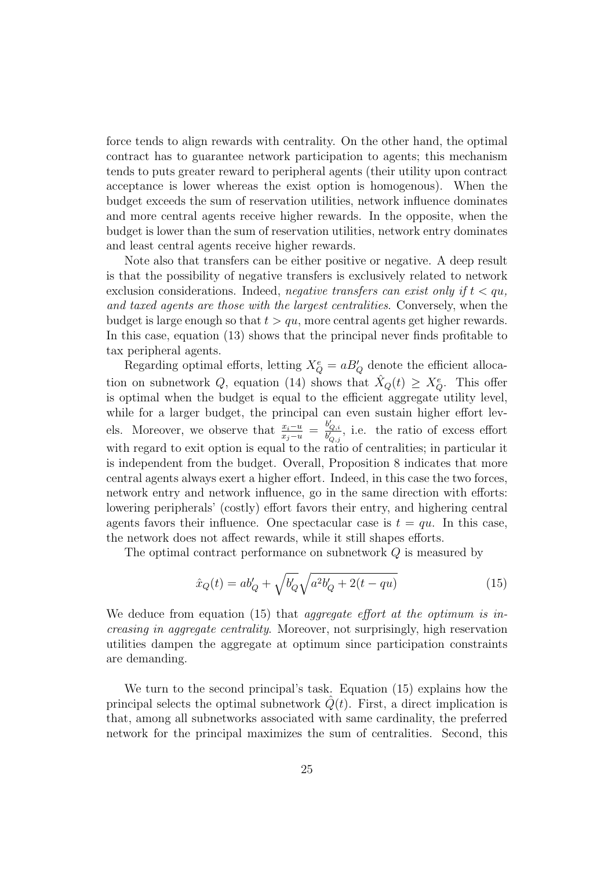force tends to align rewards with centrality. On the other hand, the optimal contract has to guarantee network participation to agents; this mechanism tends to puts greater reward to peripheral agents (their utility upon contract acceptance is lower whereas the exist option is homogenous). When the budget exceeds the sum of reservation utilities, network influence dominates and more central agents receive higher rewards. In the opposite, when the budget is lower than the sum of reservation utilities, network entry dominates and least central agents receive higher rewards.

Note also that transfers can be either positive or negative. A deep result is that the possibility of negative transfers is exclusively related to network exclusion considerations. Indeed, negative transfers can exist only if  $t < qu$ , and taxed agents are those with the largest centralities. Conversely, when the budget is large enough so that  $t > qu$ , more central agents get higher rewards. In this case, equation (13) shows that the principal never finds profitable to tax peripheral agents.

Regarding optimal efforts, letting  $X_Q^e = aB_Q'$  denote the efficient allocation on subnetwork Q, equation (14) shows that  $\hat{X}_Q(t) \geq X_Q^e$ . This offer is optimal when the budget is equal to the efficient aggregate utility level, while for a larger budget, the principal can even sustain higher effort levels. Moreover, we observe that  $\frac{x_i-u}{x_j-u} = \frac{b'_{Q,i}}{b'_{Q,j}}$ , i.e. the ratio of excess effort with regard to exit option is equal to the ratio of centralities; in particular it is independent from the budget. Overall, Proposition 8 indicates that more central agents always exert a higher effort. Indeed, in this case the two forces, network entry and network influence, go in the same direction with efforts: lowering peripherals' (costly) effort favors their entry, and highering central agents favors their influence. One spectacular case is  $t = qu$ . In this case, the network does not affect rewards, while it still shapes efforts.

The optimal contract performance on subnetwork Q is measured by

$$
\hat{x}_Q(t) = ab'_Q + \sqrt{b'_Q} \sqrt{a^2 b'_Q + 2(t - qu)}\tag{15}
$$

We deduce from equation (15) that *aggregate effort at the optimum is in*creasing in aggregate centrality. Moreover, not surprisingly, high reservation utilities dampen the aggregate at optimum since participation constraints are demanding.

We turn to the second principal's task. Equation (15) explains how the principal selects the optimal subnetwork  $Q(t)$ . First, a direct implication is that, among all subnetworks associated with same cardinality, the preferred network for the principal maximizes the sum of centralities. Second, this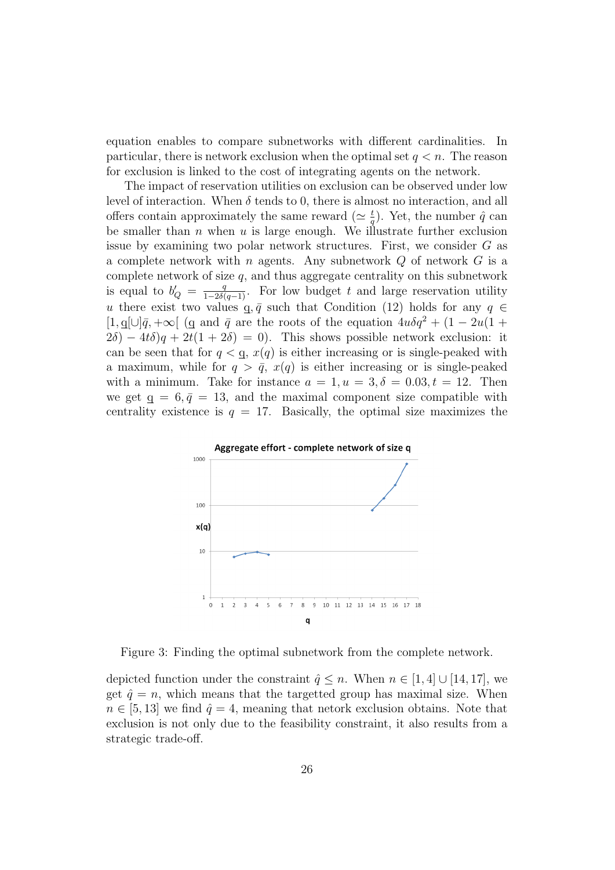equation enables to compare subnetworks with different cardinalities. In particular, there is network exclusion when the optimal set  $q < n$ . The reason for exclusion is linked to the cost of integrating agents on the network.

The impact of reservation utilities on exclusion can be observed under low level of interaction. When  $\delta$  tends to 0, there is almost no interaction, and all offers contain approximately the same reward ( $\simeq \frac{t}{a}$ )  $(\frac{t}{q})$ . Yet, the number  $\hat{q}$  can be smaller than  $n$  when  $u$  is large enough. We illustrate further exclusion issue by examining two polar network structures. First, we consider G as a complete network with *n* agents. Any subnetwork  $Q$  of network  $G$  is a complete network of size  $q$ , and thus aggregate centrality on this subnetwork is equal to  $b'_Q = \frac{q}{1-2\delta(q-1)}$ . For low budget t and large reservation utility u there exist two values  $q, \bar{q}$  such that Condition (12) holds for any  $q \in$  $[1, q[\cup]\bar{q}, +\infty[$  (q and  $\bar{q}$  are the roots of the equation  $4u\delta q^2 + (1 - 2u(1 +$  $2\delta$ ) − 4t $\delta$ )q + 2t(1 + 2 $\delta$ ) = 0). This shows possible network exclusion: it can be seen that for  $q < q$ ,  $x(q)$  is either increasing or is single-peaked with a maximum, while for  $q > \bar{q}$ ,  $x(q)$  is either increasing or is single-peaked with a minimum. Take for instance  $a = 1, u = 3, \delta = 0.03, t = 12$ . Then we get  $q = 6, \bar{q} = 13$ , and the maximal component size compatible with centrality existence is  $q = 17$ . Basically, the optimal size maximizes the



Figure 3: Finding the optimal subnetwork from the complete network.

depicted function under the constraint  $\hat{q} \leq n$ . When  $n \in [1, 4] \cup [14, 17]$ , we get  $\hat{q} = n$ , which means that the targetted group has maximal size. When  $n \in [5, 13]$  we find  $\hat{q} = 4$ , meaning that netork exclusion obtains. Note that exclusion is not only due to the feasibility constraint, it also results from a strategic trade-off.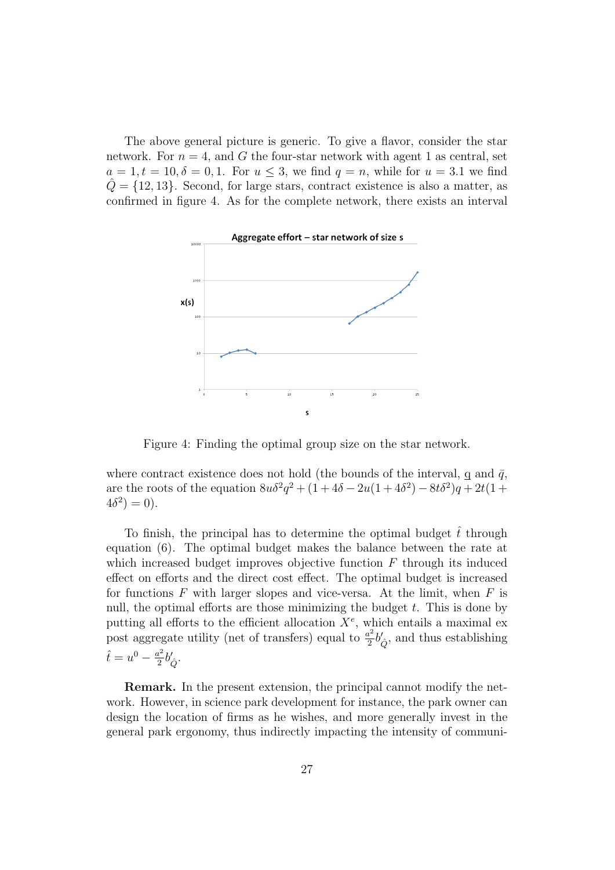The above general picture is generic. To give a flavor, consider the star network. For  $n = 4$ , and G the four-star network with agent 1 as central, set  $a = 1, t = 10, \delta = 0, 1$ . For  $u \leq 3$ , we find  $q = n$ , while for  $u = 3.1$  we find  $\hat{Q} = \{12, 13\}$ . Second, for large stars, contract existence is also a matter, as confirmed in figure 4. As for the complete network, there exists an interval



Figure 4: Finding the optimal group size on the star network.

where contract existence does not hold (the bounds of the interval, q and  $\bar{q}$ , are the roots of the equation  $8u\delta^2 q^2 + (1+4\delta - 2u(1+4\delta^2) - 8t\delta^2)q + 2t(1+$  $4\delta^2$ ) = 0).

To finish, the principal has to determine the optimal budget  $\hat{t}$  through equation (6). The optimal budget makes the balance between the rate at which increased budget improves objective function  $F$  through its induced effect on efforts and the direct cost effect. The optimal budget is increased for functions  $F$  with larger slopes and vice-versa. At the limit, when  $F$  is null, the optimal efforts are those minimizing the budget  $t$ . This is done by putting all efforts to the efficient allocation  $X^e$ , which entails a maximal ex post aggregate utility (net of transfers) equal to  $\frac{a^2}{2}$  $\frac{a^2}{2}b'_{\hat{Q}}$ , and thus establishing  $\hat{t} = u^0 - \frac{a^2}{2}$  $\frac{i^2}{2}b'_{\hat{Q}}.$ 

Remark. In the present extension, the principal cannot modify the network. However, in science park development for instance, the park owner can design the location of firms as he wishes, and more generally invest in the general park ergonomy, thus indirectly impacting the intensity of communi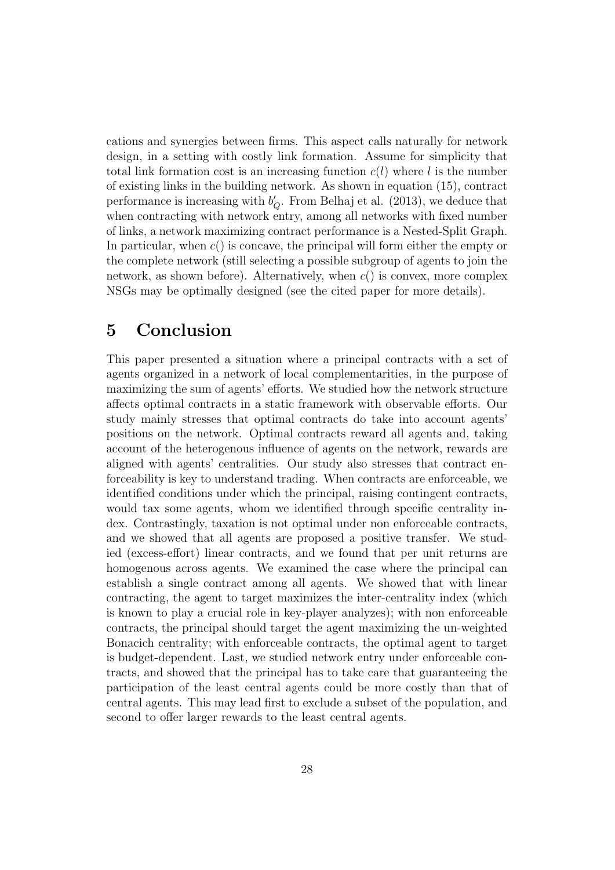cations and synergies between firms. This aspect calls naturally for network design, in a setting with costly link formation. Assume for simplicity that total link formation cost is an increasing function  $c(l)$  where l is the number of existing links in the building network. As shown in equation (15), contract performance is increasing with  $b'_{Q}$ . From Belhaj et al. (2013), we deduce that when contracting with network entry, among all networks with fixed number of links, a network maximizing contract performance is a Nested-Split Graph. In particular, when  $c()$  is concave, the principal will form either the empty or the complete network (still selecting a possible subgroup of agents to join the network, as shown before). Alternatively, when  $c()$  is convex, more complex NSGs may be optimally designed (see the cited paper for more details).

## 5 Conclusion

This paper presented a situation where a principal contracts with a set of agents organized in a network of local complementarities, in the purpose of maximizing the sum of agents' efforts. We studied how the network structure affects optimal contracts in a static framework with observable efforts. Our study mainly stresses that optimal contracts do take into account agents' positions on the network. Optimal contracts reward all agents and, taking account of the heterogenous influence of agents on the network, rewards are aligned with agents' centralities. Our study also stresses that contract enforceability is key to understand trading. When contracts are enforceable, we identified conditions under which the principal, raising contingent contracts, would tax some agents, whom we identified through specific centrality index. Contrastingly, taxation is not optimal under non enforceable contracts, and we showed that all agents are proposed a positive transfer. We studied (excess-effort) linear contracts, and we found that per unit returns are homogenous across agents. We examined the case where the principal can establish a single contract among all agents. We showed that with linear contracting, the agent to target maximizes the inter-centrality index (which is known to play a crucial role in key-player analyzes); with non enforceable contracts, the principal should target the agent maximizing the un-weighted Bonacich centrality; with enforceable contracts, the optimal agent to target is budget-dependent. Last, we studied network entry under enforceable contracts, and showed that the principal has to take care that guaranteeing the participation of the least central agents could be more costly than that of central agents. This may lead first to exclude a subset of the population, and second to offer larger rewards to the least central agents.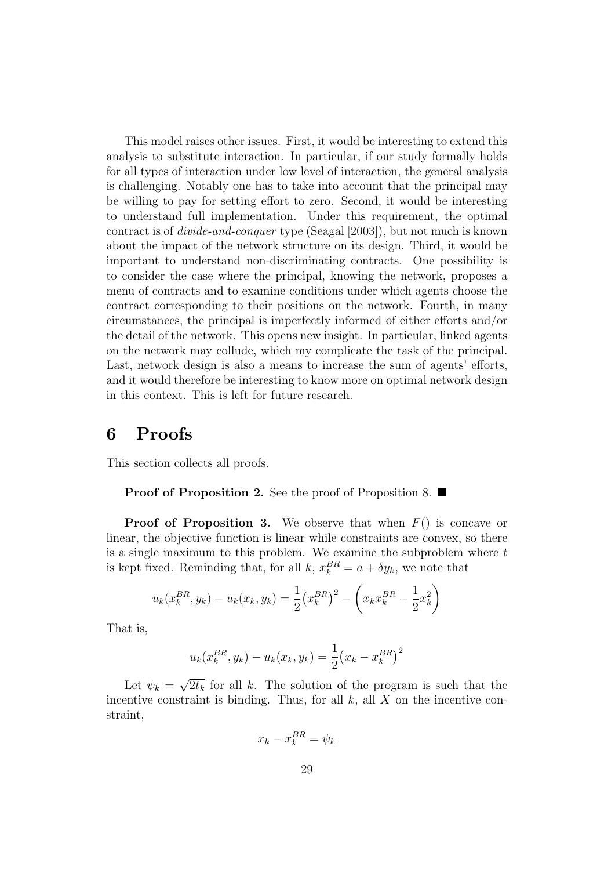This model raises other issues. First, it would be interesting to extend this analysis to substitute interaction. In particular, if our study formally holds for all types of interaction under low level of interaction, the general analysis is challenging. Notably one has to take into account that the principal may be willing to pay for setting effort to zero. Second, it would be interesting to understand full implementation. Under this requirement, the optimal contract is of divide-and-conquer type (Seagal [2003]), but not much is known about the impact of the network structure on its design. Third, it would be important to understand non-discriminating contracts. One possibility is to consider the case where the principal, knowing the network, proposes a menu of contracts and to examine conditions under which agents choose the contract corresponding to their positions on the network. Fourth, in many circumstances, the principal is imperfectly informed of either efforts and/or the detail of the network. This opens new insight. In particular, linked agents on the network may collude, which my complicate the task of the principal. Last, network design is also a means to increase the sum of agents' efforts, and it would therefore be interesting to know more on optimal network design in this context. This is left for future research.

## 6 Proofs

This section collects all proofs.

**Proof of Proposition 2.** See the proof of Proposition 8.  $\blacksquare$ 

**Proof of Proposition 3.** We observe that when  $F()$  is concave or linear, the objective function is linear while constraints are convex, so there is a single maximum to this problem. We examine the subproblem where t is kept fixed. Reminding that, for all  $k, x_k^{BR} = a + \delta y_k$ , we note that

$$
u_k(x_k^{BR}, y_k) - u_k(x_k, y_k) = \frac{1}{2} (x_k^{BR})^2 - \left(x_k x_k^{BR} - \frac{1}{2} x_k^2\right)
$$

That is,

$$
u_k(x_k^{BR}, y_k) - u_k(x_k, y_k) = \frac{1}{2} (x_k - x_k^{BR})^2
$$

Let  $\psi_k =$ √  $\overline{2t_k}$  for all k. The solution of the program is such that the incentive constraint is binding. Thus, for all  $k$ , all  $X$  on the incentive constraint,

$$
x_k - x_k^{BR} = \psi_k
$$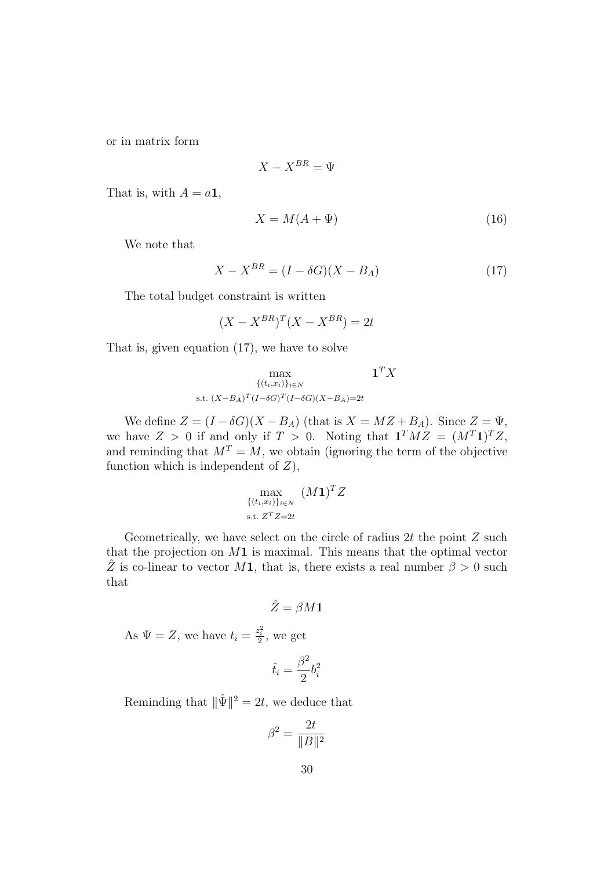or in matrix form

$$
X - X^{BR} = \Psi
$$

That is, with  $A = a1$ ,

$$
X = M(A + \Psi) \tag{16}
$$

We note that

$$
X - X^{BR} = (I - \delta G)(X - B_A) \tag{17}
$$

The total budget constraint is written

$$
(X - X^{BR})^T (X - X^{BR}) = 2t
$$

That is, given equation (17), we have to solve

$$
\max_{\{(t_i,x_i)\}_{i\in N}} \mathbf{1}^T X
$$
  
s.t.  $(X-B_A)^T (I-\delta G)^T (I-\delta G)(X-B_A)=2t$ 

We define  $Z = (I - \delta G)(X - B_A)$  (that is  $X = MZ + B_A$ ). Since  $Z = \Psi$ , we have  $Z > 0$  if and only if  $T > 0$ . Noting that  $\mathbf{1}^T M Z = (M^T \mathbf{1})^T Z$ , and reminding that  $M^T = M$ , we obtain (ignoring the term of the objective function which is independent of  $Z$ ),

$$
\max_{\{(t_i,x_i)\}_{i\in N}} (M\mathbf{1})^T Z
$$
  
s.t.  $Z^T Z = 2t$ 

Geometrically, we have select on the circle of radius  $2t$  the point  $Z$  such that the projection on  $M_1$  is maximal. This means that the optimal vector  $\hat{Z}$  is co-linear to vector M1, that is, there exists a real number  $\beta > 0$  such that

$$
\hat{Z}=\beta M \mathbf{1}
$$

As  $\Psi = Z$ , we have  $t_i = \frac{z_i^2}{2}$ , we get

$$
\hat{t}_i = \frac{\beta^2}{2} b_i^2
$$

Reminding that  $\|\hat{\Psi}\|^2 = 2t$ , we deduce that

$$
\beta^2 = \frac{2t}{\|B\|^2}
$$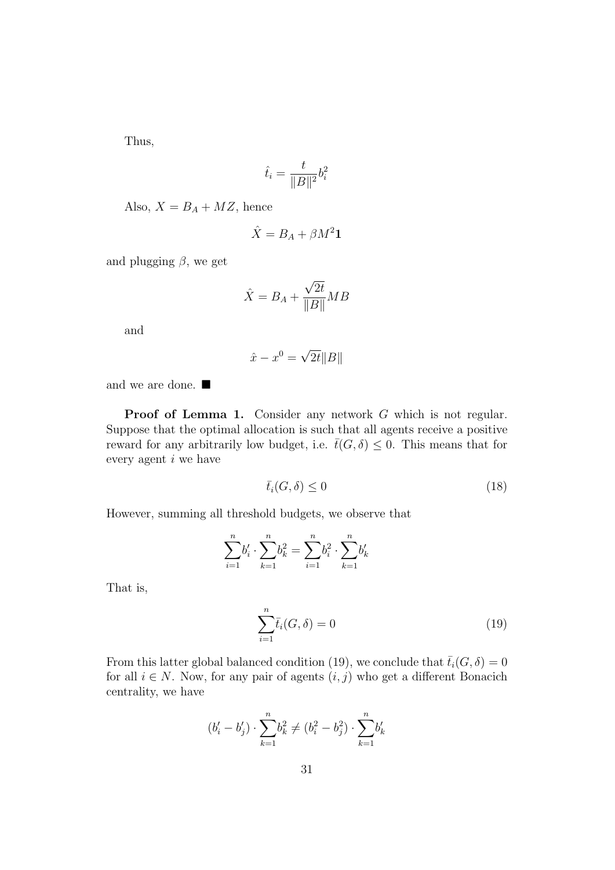Thus,

$$
\hat{t}_i = \frac{t}{\|B\|^2} b_i^2
$$

Also,  $X = B_A + MZ$ , hence

$$
\hat{X} = B_A + \beta M^2 \mathbf{1}
$$

and plugging  $\beta$ , we get

$$
\hat{X} = B_A + \frac{\sqrt{2t}}{\|B\|} MB
$$

and

$$
\hat{x} - x^0 = \sqrt{2t} \|B\|
$$

and we are done.  $\blacksquare$ 

Proof of Lemma 1. Consider any network G which is not regular. Suppose that the optimal allocation is such that all agents receive a positive reward for any arbitrarily low budget, i.e.  $\bar{t}(G,\delta) \leq 0$ . This means that for every agent i we have

$$
\bar{t}_i(G,\delta) \le 0 \tag{18}
$$

However, summing all threshold budgets, we observe that

$$
\sum_{i=1}^{n} b'_i \cdot \sum_{k=1}^{n} b_k^2 = \sum_{i=1}^{n} b_i^2 \cdot \sum_{k=1}^{n} b'_k
$$

That is,

$$
\sum_{i=1}^{n} \bar{t}_i(G,\delta) = 0 \tag{19}
$$

From this latter global balanced condition (19), we conclude that  $\bar{t}_i(G,\delta) = 0$ for all  $i \in N$ . Now, for any pair of agents  $(i, j)$  who get a different Bonacich centrality, we have

$$
(b'_i-b'_j)\cdot \sum_{k=1}^n b_k^2 \neq (b_i^2-b_j^2)\cdot \sum_{k=1}^n b'_k
$$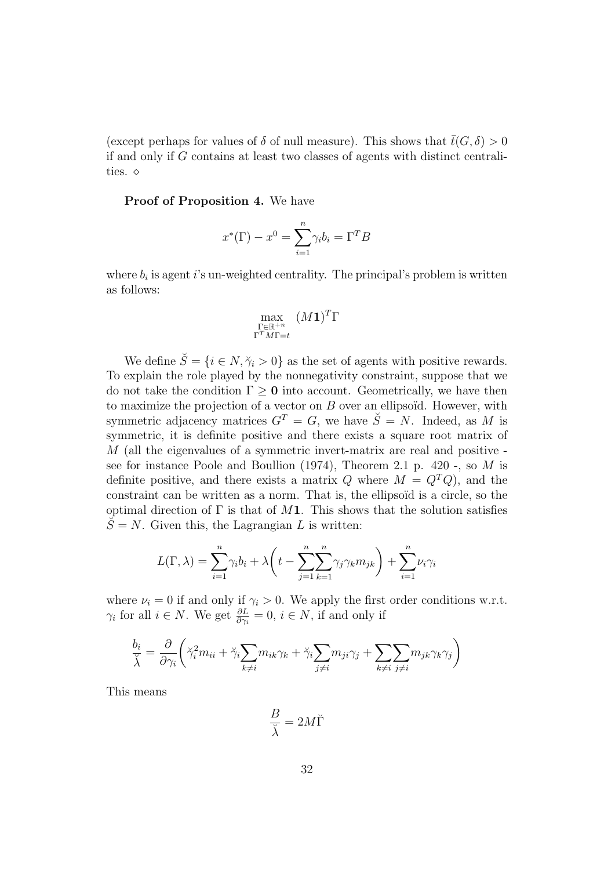(except perhaps for values of  $\delta$  of null measure). This shows that  $\bar{t}(G,\delta) > 0$ if and only if G contains at least two classes of agents with distinct centralities.  $\diamond$ 

Proof of Proposition 4. We have

$$
x^*(\Gamma) - x^0 = \sum_{i=1}^n \gamma_i b_i = \Gamma^T B
$$

where  $b_i$  is agent i's un-weighted centrality. The principal's problem is written as follows:

$$
\max_{\substack{\Gamma \in \mathbb{R}^{+n} \\ \Gamma^T M \Gamma = t}} (M \mathbf{1})^T \Gamma
$$

We define  $\check{S} = \{i \in N, \check{\gamma}_i > 0\}$  as the set of agents with positive rewards. To explain the role played by the nonnegativity constraint, suppose that we do not take the condition  $\Gamma \geq 0$  into account. Geometrically, we have then to maximize the projection of a vector on  $B$  over an ellipsoïd. However, with symmetric adjacency matrices  $G<sup>T</sup> = G$ , we have  $\breve{S} = N$ . Indeed, as M is symmetric, it is definite positive and there exists a square root matrix of M (all the eigenvalues of a symmetric invert-matrix are real and positive see for instance Poole and Boullion  $(1974)$ , Theorem 2.1 p. 420 -, so M is definite positive, and there exists a matrix Q where  $M = Q^T Q$ , and the constraint can be written as a norm. That is, the ellipsoïd is a circle, so the optimal direction of  $\Gamma$  is that of M1. This shows that the solution satisfies  $\breve{S} = N$ . Given this, the Lagrangian L is written:

$$
L(\Gamma,\lambda) = \sum_{i=1}^{n} \gamma_i b_i + \lambda \left( t - \sum_{j=1}^{n} \sum_{k=1}^{n} \gamma_j \gamma_k m_{jk} \right) + \sum_{i=1}^{n} \nu_i \gamma_i
$$

where  $\nu_i = 0$  if and only if  $\gamma_i > 0$ . We apply the first order conditions w.r.t.  $\gamma_i$  for all  $i \in N$ . We get  $\frac{\partial L}{\partial \gamma_i} = 0$ ,  $i \in N$ , if and only if

$$
\frac{b_i}{\breve{\lambda}} = \frac{\partial}{\partial \gamma_i} \left( \breve{\gamma}_i^2 m_{ii} + \breve{\gamma}_i \sum_{k \neq i} m_{ik} \gamma_k + \breve{\gamma}_i \sum_{j \neq i} m_{ji} \gamma_j + \sum_{k \neq i} \sum_{j \neq i} m_{jk} \gamma_k \gamma_j \right)
$$

This means

$$
\frac{B}{\breve{\lambda}} = 2M\breve{\Gamma}
$$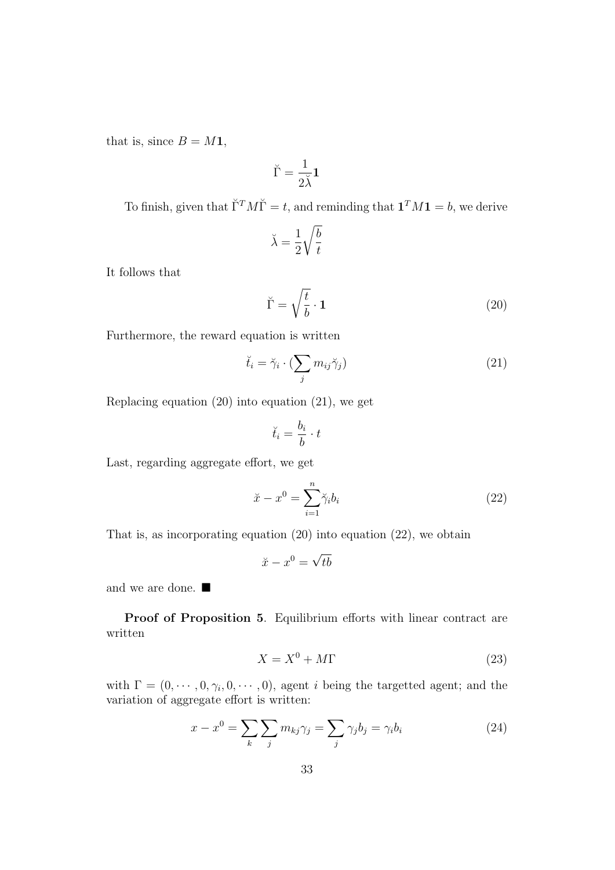that is, since  $B = M1$ ,

$$
\breve{\Gamma} = \frac{1}{2\breve{\lambda}} \mathbf{1}
$$

To finish, given that  $\check{\Gamma}^T M \check{\Gamma} = t$ , and reminding that  $\mathbf{1}^T M \mathbf{1} = b$ , we derive

$$
\breve{\lambda} = \frac{1}{2} \sqrt{\frac{b}{t}}
$$

It follows that

$$
\breve{\Gamma} = \sqrt{\frac{t}{b}} \cdot \mathbf{1}
$$
 (20)

Furthermore, the reward equation is written

$$
\breve{t}_i = \breve{\gamma}_i \cdot (\sum_j m_{ij} \breve{\gamma}_j) \tag{21}
$$

Replacing equation (20) into equation (21), we get

$$
\breve{t}_i = \frac{b_i}{b} \cdot t
$$

Last, regarding aggregate effort, we get

$$
\ddot{x} - x^0 = \sum_{i=1}^n \ddot{\gamma}_i b_i \tag{22}
$$

That is, as incorporating equation (20) into equation (22), we obtain

$$
\breve{x} - x^0 = \sqrt{tb}
$$

and we are done.  $\blacksquare$ 

Proof of Proposition 5. Equilibrium efforts with linear contract are written

$$
X = X^0 + M\Gamma \tag{23}
$$

with  $\Gamma = (0, \dots, 0, \gamma_i, 0, \dots, 0)$ , agent *i* being the targetted agent; and the variation of aggregate effort is written:

$$
x - x^0 = \sum_{k} \sum_{j} m_{kj} \gamma_j = \sum_{j} \gamma_j b_j = \gamma_i b_i \tag{24}
$$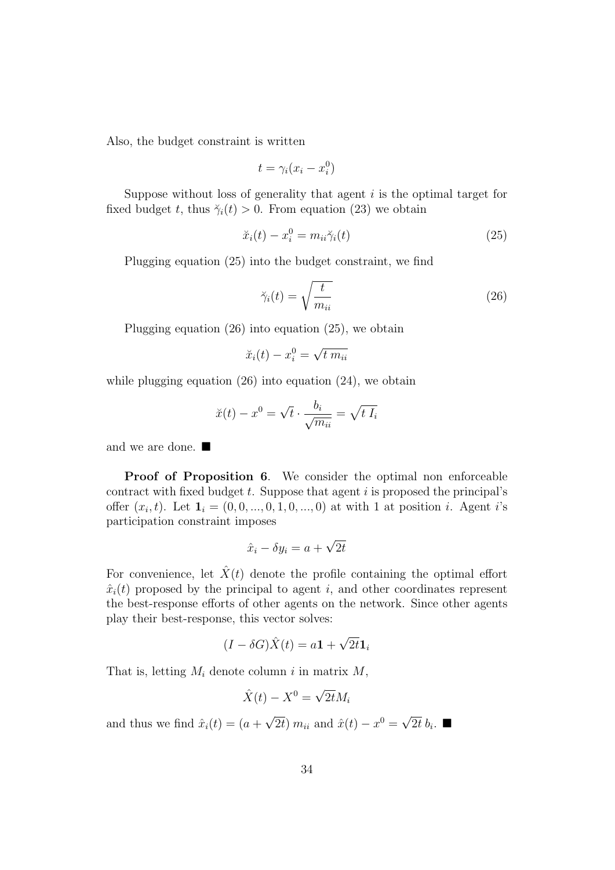Also, the budget constraint is written

$$
t = \gamma_i (x_i - x_i^0)
$$

Suppose without loss of generality that agent  $i$  is the optimal target for fixed budget t, thus  $\breve{\gamma}_i(t) > 0$ . From equation (23) we obtain

$$
\ddot{x}_i(t) - x_i^0 = m_{ii}\ddot{\gamma}_i(t) \tag{25}
$$

Plugging equation (25) into the budget constraint, we find

$$
\breve{\gamma}_i(t) = \sqrt{\frac{t}{m_{ii}}} \tag{26}
$$

Plugging equation (26) into equation (25), we obtain

$$
\breve{x}_i(t) - x_i^0 = \sqrt{t \; m_{ii}}
$$

while plugging equation  $(26)$  into equation  $(24)$ , we obtain

$$
\breve{x}(t) - x^0 = \sqrt{t} \cdot \frac{b_i}{\sqrt{m_{ii}}} = \sqrt{t I_i}
$$

and we are done.  $\blacksquare$ 

Proof of Proposition 6. We consider the optimal non enforceable contract with fixed budget  $t$ . Suppose that agent  $i$  is proposed the principal's offer  $(x_i, t)$ . Let  $\mathbf{1}_i = (0, 0, ..., 0, 1, 0, ..., 0)$  at with 1 at position *i*. Agent *i*'s participation constraint imposes

$$
\hat{x}_i - \delta y_i = a + \sqrt{2t}
$$

For convenience, let  $\hat{X}(t)$  denote the profile containing the optimal effort  $\hat{x}_i(t)$  proposed by the principal to agent i, and other coordinates represent the best-response efforts of other agents on the network. Since other agents play their best-response, this vector solves:

$$
(I - \delta G)\hat{X}(t) = a\mathbf{1} + \sqrt{2t}\mathbf{1}_i
$$

That is, letting  $M_i$  denote column i in matrix  $M$ ,

$$
\hat{X}(t) - X^0 = \sqrt{2t}M_i
$$

and thus we find  $\hat{x}_i(t) = (a +$ √  $\overline{2t}$ )  $m_{ii}$  and  $\hat{x}(t) - x^0 =$ √  $\overline{2t}\,b_i$ .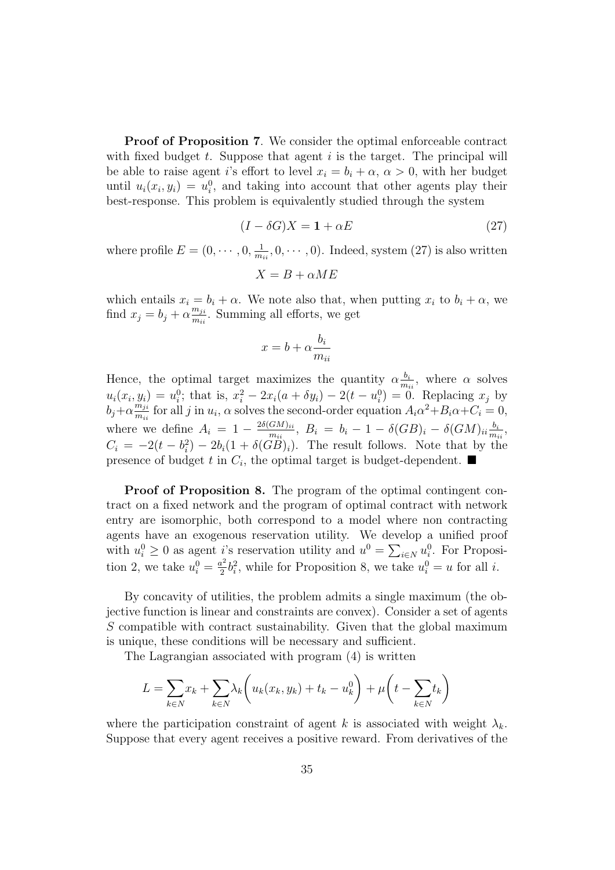Proof of Proposition 7. We consider the optimal enforceable contract with fixed budget  $t$ . Suppose that agent  $i$  is the target. The principal will be able to raise agent i's effort to level  $x_i = b_i + \alpha$ ,  $\alpha > 0$ , with her budget until  $u_i(x_i, y_i) = u_i^0$ , and taking into account that other agents play their best-response. This problem is equivalently studied through the system

$$
(I - \delta G)X = \mathbf{1} + \alpha E \tag{27}
$$

where profile  $E = (0, \dots, 0, \frac{1}{m})$  $\frac{1}{m_{ii}}$ , 0,  $\cdots$ , 0). Indeed, system (27) is also written

$$
X=B+\alpha ME
$$

which entails  $x_i = b_i + \alpha$ . We note also that, when putting  $x_i$  to  $b_i + \alpha$ , we find  $x_j = b_j + \alpha \frac{m_{ji}}{m_{ji}}$  $\frac{m_{ji}}{m_{ii}}$ . Summing all efforts, we get

$$
x = b + \alpha \frac{b_i}{m_{ii}}
$$

Hence, the optimal target maximizes the quantity  $\alpha \frac{b_i}{m}$  $\frac{b_i}{m_{ii}},$  where  $\alpha$  solves  $u_i(x_i, y_i) = u_i^0$ ; that is,  $x_i^2 - 2x_i(a + \delta y_i) - 2(t - u_i^0) = 0$ . Replacing  $x_j$  by  $b_j + \alpha \frac{\tilde{m}_{ji}}{m_{ji}}$  $\frac{m_{ji}}{m_{ii}}$  for all j in  $u_i$ ,  $\alpha$  solves the second-order equation  $A_i\alpha^2 + B_i\alpha + C_i = 0$ , where we define  $A_i = 1 - \frac{2\delta(GM)_{ii}}{m_{ii}}$  $\frac{GM)_{ii}}{m_{ii}}, \; B_i \; = \; b_i \, - \, 1 \, - \, \delta (GB)_i \, - \, \delta (GM)_{ii} \frac{b_i}{m_i}$  $\frac{b_i}{m_{ii}},$  $C_i = -2(t - b_i^2) - 2b_i(1 + \delta(GB)_i)$ . The result follows. Note that by the presence of budget t in  $C_i$ , the optimal target is budget-dependent.

Proof of Proposition 8. The program of the optimal contingent contract on a fixed network and the program of optimal contract with network entry are isomorphic, both correspond to a model where non contracting agents have an exogenous reservation utility. We develop a unified proof with  $u_i^0 \geq 0$  as agent *i*'s reservation utility and  $u^0 = \sum_{i \in N} u_i^0$ . For Proposition 2, we take  $u_i^0 = \frac{a^2}{2}$  $u_i^2 b_i^2$ , while for Proposition 8, we take  $u_i^0 = u$  for all *i*.

By concavity of utilities, the problem admits a single maximum (the objective function is linear and constraints are convex). Consider a set of agents S compatible with contract sustainability. Given that the global maximum is unique, these conditions will be necessary and sufficient.

The Lagrangian associated with program (4) is written

$$
L = \sum_{k \in N} x_k + \sum_{k \in N} \lambda_k \left( u_k(x_k, y_k) + t_k - u_k^0 \right) + \mu \left( t - \sum_{k \in N} t_k \right)
$$

where the participation constraint of agent k is associated with weight  $\lambda_k$ . Suppose that every agent receives a positive reward. From derivatives of the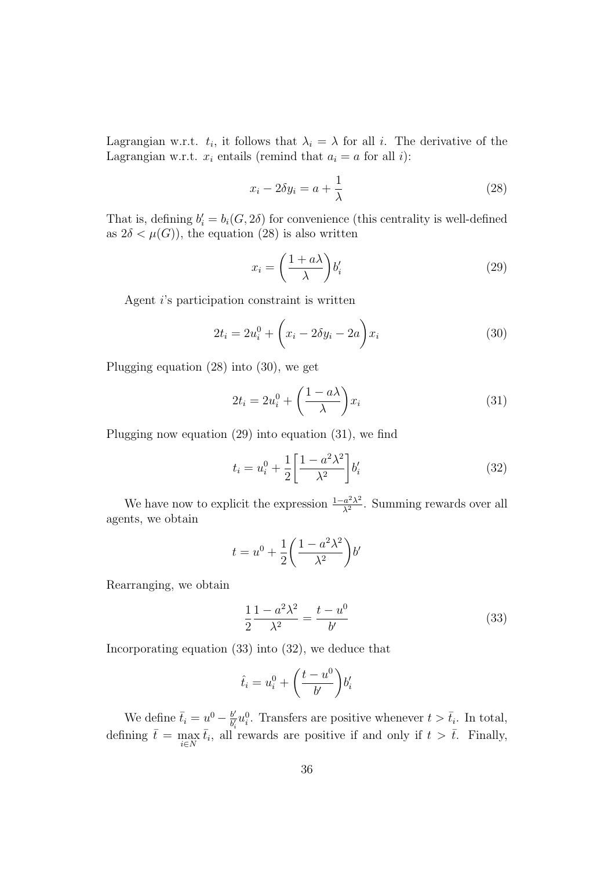Lagrangian w.r.t.  $t_i$ , it follows that  $\lambda_i = \lambda$  for all i. The derivative of the Lagrangian w.r.t.  $x_i$  entails (remind that  $a_i = a$  for all i):

$$
x_i - 2\delta y_i = a + \frac{1}{\lambda} \tag{28}
$$

That is, defining  $b_i' = b_i(G, 2\delta)$  for convenience (this centrality is well-defined as  $2\delta < \mu(G)$ , the equation (28) is also written

$$
x_i = \left(\frac{1 + a\lambda}{\lambda}\right) b'_i \tag{29}
$$

Agent i's participation constraint is written

$$
2t_i = 2u_i^0 + \left(x_i - 2\delta y_i - 2a\right)x_i
$$
\n(30)

Plugging equation (28) into (30), we get

$$
2t_i = 2u_i^0 + \left(\frac{1 - a\lambda}{\lambda}\right)x_i
$$
\n(31)

Plugging now equation (29) into equation (31), we find

$$
t_i = u_i^0 + \frac{1}{2} \left[ \frac{1 - a^2 \lambda^2}{\lambda^2} \right] b_i'
$$
 (32)

We have now to explicit the expression  $\frac{1-a^2\lambda^2}{\lambda^2}$  $\frac{a^2\lambda^2}{\lambda^2}$ . Summing rewards over all agents, we obtain

$$
t = u^0 + \frac{1}{2} \left( \frac{1 - a^2 \lambda^2}{\lambda^2} \right) b'
$$

Rearranging, we obtain

$$
\frac{1}{2} \frac{1 - a^2 \lambda^2}{\lambda^2} = \frac{t - u^0}{b'} \tag{33}
$$

Incorporating equation (33) into (32), we deduce that

$$
\hat{t}_i = u_i^0 + \left(\frac{t - u^0}{b'}\right) b_i'
$$

We define  $\bar{t}_i = u^0 - \frac{b'}{b'}$  $\frac{b'}{b'_i}u_i^0$ . Transfers are positive whenever  $t > \bar{t}_i$ . In total, defining  $\bar{t} = \max_{i \in N} \bar{t}_i$ , all rewards are positive if and only if  $t > \bar{t}$ . Finally,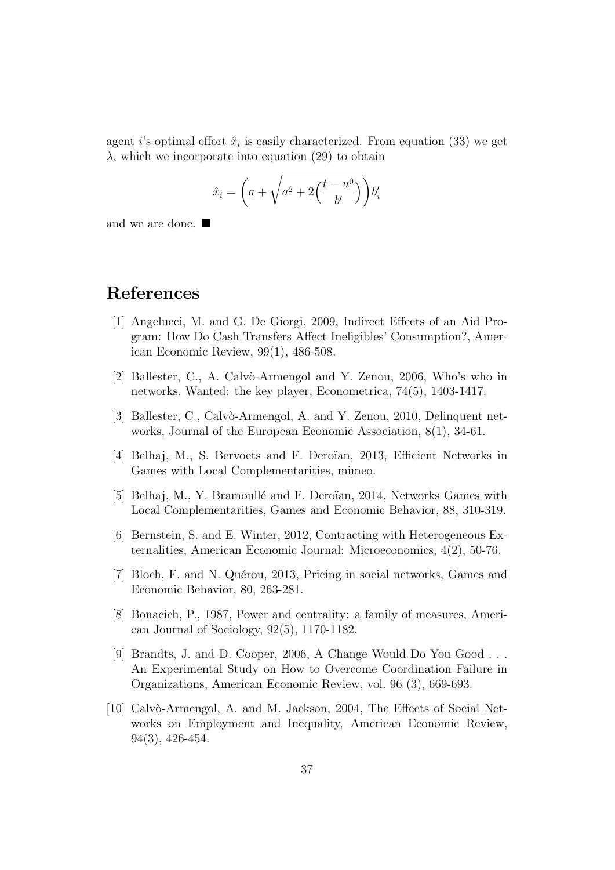agent *i*'s optimal effort  $\hat{x}_i$  is easily characterized. From equation (33) we get  $\lambda$ , which we incorporate into equation (29) to obtain

$$
\hat{x}_i = \left(a + \sqrt{a^2 + 2\left(\frac{t - u^0}{b'}\right)}\right)b'_i
$$

and we are done.  $\blacksquare$ 

## References

- [1] Angelucci, M. and G. De Giorgi, 2009, Indirect Effects of an Aid Program: How Do Cash Transfers Affect Ineligibles' Consumption?, American Economic Review, 99(1), 486-508.
- [2] Ballester, C., A. Calvò-Armengol and Y. Zenou, 2006, Who's who in networks. Wanted: the key player, Econometrica, 74(5), 1403-1417.
- [3] Ballester, C., Calvò-Armengol, A. and Y. Zenou, 2010, Delinquent networks, Journal of the European Economic Association, 8(1), 34-61.
- [4] Belhaj, M., S. Bervoets and F. Deroïan, 2013, Efficient Networks in Games with Local Complementarities, mimeo.
- [5] Belhaj, M., Y. Bramoullé and F. Deroïan, 2014, Networks Games with Local Complementarities, Games and Economic Behavior, 88, 310-319.
- [6] Bernstein, S. and E. Winter, 2012, Contracting with Heterogeneous Externalities, American Economic Journal: Microeconomics, 4(2), 50-76.
- [7] Bloch, F. and N. Quérou, 2013, Pricing in social networks, Games and Economic Behavior, 80, 263-281.
- [8] Bonacich, P., 1987, Power and centrality: a family of measures, American Journal of Sociology, 92(5), 1170-1182.
- [9] Brandts, J. and D. Cooper, 2006, A Change Would Do You Good . . . An Experimental Study on How to Overcome Coordination Failure in Organizations, American Economic Review, vol. 96 (3), 669-693.
- [10] Calvò-Armengol, A. and M. Jackson, 2004, The Effects of Social Networks on Employment and Inequality, American Economic Review, 94(3), 426-454.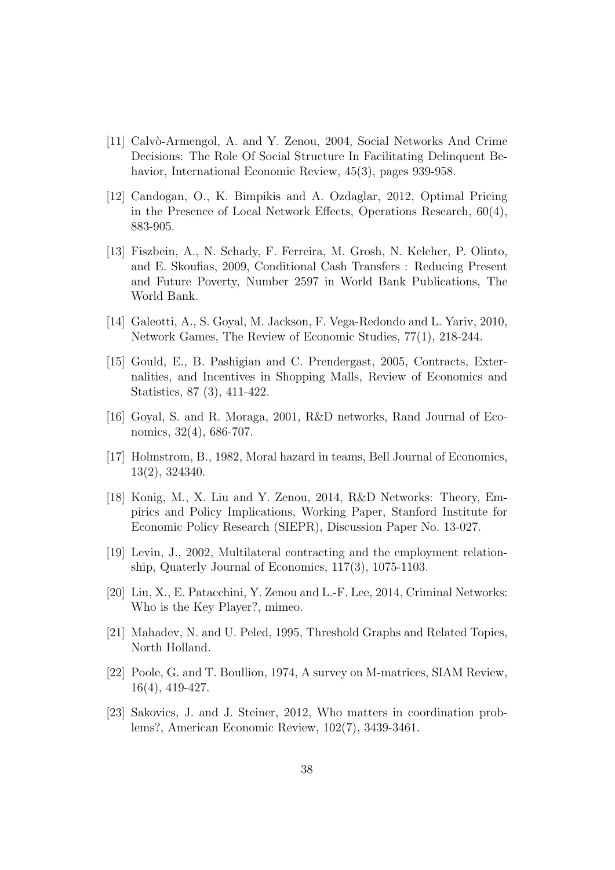- [11] Calvò-Armengol, A. and Y. Zenou, 2004, Social Networks And Crime Decisions: The Role Of Social Structure In Facilitating Delinquent Behavior, International Economic Review, 45(3), pages 939-958.
- [12] Candogan, O., K. Bimpikis and A. Ozdaglar, 2012, Optimal Pricing in the Presence of Local Network Effects, Operations Research, 60(4), 883-905.
- [13] Fiszbein, A., N. Schady, F. Ferreira, M. Grosh, N. Keleher, P. Olinto, and E. Skoufias, 2009, Conditional Cash Transfers : Reducing Present and Future Poverty, Number 2597 in World Bank Publications, The World Bank.
- [14] Galeotti, A., S. Goyal, M. Jackson, F. Vega-Redondo and L. Yariv, 2010, Network Games, The Review of Economic Studies, 77(1), 218-244.
- [15] Gould, E., B. Pashigian and C. Prendergast, 2005, Contracts, Externalities, and Incentives in Shopping Malls, Review of Economics and Statistics, 87 (3), 411-422.
- [16] Goyal, S. and R. Moraga, 2001, R&D networks, Rand Journal of Economics, 32(4), 686-707.
- [17] Holmstrom, B., 1982, Moral hazard in teams, Bell Journal of Economics, 13(2), 324340.
- [18] Konig, M., X. Liu and Y. Zenou, 2014, R&D Networks: Theory, Empirics and Policy Implications, Working Paper, Stanford Institute for Economic Policy Research (SIEPR), Discussion Paper No. 13-027.
- [19] Levin, J., 2002, Multilateral contracting and the employment relationship, Quaterly Journal of Economics, 117(3), 1075-1103.
- [20] Liu, X., E. Patacchini, Y. Zenou and L.-F. Lee, 2014, Criminal Networks: Who is the Key Player?, mimeo.
- [21] Mahadev, N. and U. Peled, 1995, Threshold Graphs and Related Topics, North Holland.
- [22] Poole, G. and T. Boullion, 1974, A survey on M-matrices, SIAM Review, 16(4), 419-427.
- [23] Sakovics, J. and J. Steiner, 2012, Who matters in coordination problems?, American Economic Review, 102(7), 3439-3461.